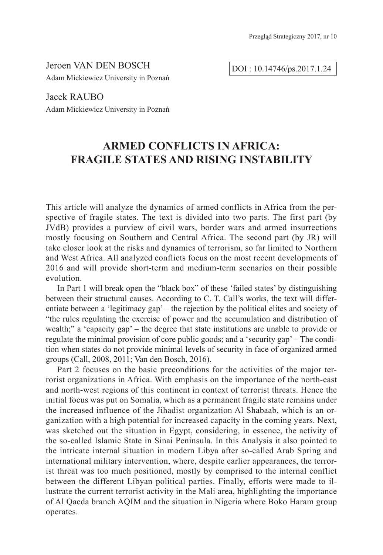Jeroen VAN DEN BOSCH Adam Mickiewicz University in Poznań

DOI : 10.14746/ps.2017.1.24

Jacek RAUBO Adam Mickiewicz University in Poznań

# **ARMED CONFLICTS IN AFRICA: FRAGILE STATES AND RISING INSTABILITY**

This article will analyze the dynamics of armed conflicts in Africa from the perspective of fragile states. The text is divided into two parts. The first part (by JVdB) provides a purview of civil wars, border wars and armed insurrections mostly focusing on Southern and Central Africa. The second part (by JR) will take closer look at the risks and dynamics of terrorism, so far limited to Northern and West Africa. All analyzed conflicts focus on the most recent developments of 2016 and will provide short-term and medium-term scenarios on their possible evolution.

In Part 1 will break open the "black box" of these 'failed states' by distinguishing between their structural causes. According to C. T. Call's works, the text will differentiate between a 'legitimacy gap' – the rejection by the political elites and society of "the rules regulating the exercise of power and the accumulation and distribution of wealth;" a 'capacity gap' – the degree that state institutions are unable to provide or regulate the minimal provision of core public goods; and a 'security gap' – The condition when states do not provide minimal levels of security in face of organized armed groups (Call, 2008, 2011; Van den Bosch, 2016).

Part 2 focuses on the basic preconditions for the activities of the major terrorist organizations in Africa. With emphasis on the importance of the north-east and north-west regions of this continent in context of terrorist threats. Hence the initial focus was put on Somalia, which as a permanent fragile state remains under the increased influence of the Jihadist organization Al Shabaab, which is an organization with a high potential for increased capacity in the coming years. Next, was sketched out the situation in Egypt, considering, in essence, the activity of the so-called Islamic State in Sinai Peninsula. In this Analysis it also pointed to the intricate internal situation in modern Libya after so-called Arab Spring and international military intervention, where, despite earlier appearances, the terrorist threat was too much positioned, mostly by comprised to the internal conflict between the different Libyan political parties. Finally, efforts were made to illustrate the current terrorist activity in the Mali area, highlighting the importance of Al Qaeda branch AQIM and the situation in Nigeria where Boko Haram group operates.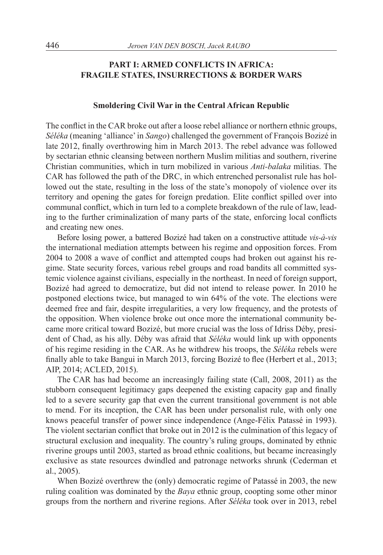# **PART I: ARMED CONFLICTS IN AFRICA: FRAGILE STATES, INSURRECTIONS & BORDER WARS**

#### **Smoldering Civil War in the Central African Republic**

The conflict in the CAR broke out after a loose rebel alliance or northern ethnic groups, *Séléka* (meaning 'alliance' in *Sango*) challenged the government of François Bozizé in late 2012, finally overthrowing him in March 2013. The rebel advance was followed by sectarian ethnic cleansing between northern Muslim militias and southern, riverine Christian communities, which in turn mobilized in various *Anti-balaka* militias. The CAR has followed the path of the DRC, in which entrenched personalist rule has hollowed out the state, resulting in the loss of the state's monopoly of violence over its territory and opening the gates for foreign predation. Elite conflict spilled over into communal conflict, which in turn led to a complete breakdown of the rule of law, leading to the further criminalization of many parts of the state, enforcing local conflicts and creating new ones.

Before losing power, a battered Bozizé had taken on a constructive attitude *vis-à-vis*  the international mediation attempts between his regime and opposition forces. From 2004 to 2008 a wave of conflict and attempted coups had broken out against his regime. State security forces, various rebel groups and road bandits all committed systemic violence against civilians, especially in the northeast. In need of foreign support, Bozizé had agreed to democratize, but did not intend to release power. In 2010 he postponed elections twice, but managed to win 64% of the vote. The elections were deemed free and fair, despite irregularities, a very low frequency, and the protests of the opposition. When violence broke out once more the international community became more critical toward Bozizé, but more crucial was the loss of Idriss Déby, president of Chad, as his ally. Déby was afraid that *Séléka* would link up with opponents of his regime residing in the CAR. As he withdrew his troops, the *Séléka* rebels were finally able to take Bangui in March 2013, forcing Bozizé to flee (Herbert et al., 2013; AIP, 2014; ACLED, 2015).

The CAR has had become an increasingly failing state (Call, 2008, 2011) as the stubborn consequent legitimacy gaps deepened the existing capacity gap and finally led to a severe security gap that even the current transitional government is not able to mend. For its inception, the CAR has been under personalist rule, with only one knows peaceful transfer of power since independence (Ange-Félix Patassé in 1993). The violent sectarian conflict that broke out in 2012 is the culmination of this legacy of structural exclusion and inequality. The country's ruling groups, dominated by ethnic riverine groups until 2003, started as broad ethnic coalitions, but became increasingly exclusive as state resources dwindled and patronage networks shrunk (Cederman et al., 2005).

When Bozizé overthrew the (only) democratic regime of Patassé in 2003, the new ruling coalition was dominated by the *Baya* ethnic group, coopting some other minor groups from the northern and riverine regions. After *Séléka* took over in 2013, rebel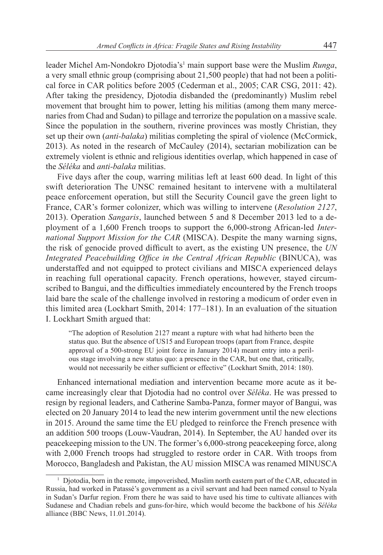leader Michel Am-Nondokro Djotodia's<sup>1</sup> main support base were the Muslim *Runga*, a very small ethnic group (comprising about 21,500 people) that had not been a political force in CAR politics before 2005 (Cederman et al., 2005; CAR CSG, 2011: 42). After taking the presidency, Djotodia disbanded the (predominantly) Muslim rebel movement that brought him to power, letting his militias (among them many mercenaries from Chad and Sudan) to pillage and terrorize the population on a massive scale. Since the population in the southern, riverine provinces was mostly Christian, they set up their own (*anti-balaka*) militias completing the spiral of violence (McCormick, 2013). As noted in the research of McCauley (2014), sectarian mobilization can be extremely violent is ethnic and religious identities overlap, which happened in case of the *Séléka* and *anti-balaka* militias.

Five days after the coup, warring militias left at least 600 dead. In light of this swift deterioration The UNSC remained hesitant to intervene with a multilateral peace enforcement operation, but still the Security Council gave the green light to France, CAR's former colonizer, which was willing to intervene (*Resolution 2127*, 2013). Operation *Sangaris*, launched between 5 and 8 December 2013 led to a deployment of a 1,600 French troops to support the 6,000-strong African-led *International Support Mission for the CAR* (MISCA). Despite the many warning signs, the risk of genocide proved difficult to avert, as the existing UN presence, the *UN Integrated Peacebuilding Office in the Central African Republic* (BINUCA), was understaffed and not equipped to protect civilians and MISCA experienced delays in reaching full operational capacity. French operations, however, stayed circumscribed to Bangui, and the difficulties immediately encountered by the French troops laid bare the scale of the challenge involved in restoring a modicum of order even in this limited area (Lockhart Smith, 2014: 177–181). In an evaluation of the situation I. Lockhart Smith argued that:

"The adoption of Resolution 2127 meant a rupture with what had hitherto been the status quo. But the absence of US15 and European troops (apart from France, despite approval of a 500-strong EU joint force in January 2014) meant entry into a perilous stage involving a new status quo: a presence in the CAR, but one that, critically, would not necessarily be either sufficient or effective" (Lockhart Smith, 2014: 180).

Enhanced international mediation and intervention became more acute as it became increasingly clear that Djotodia had no control over *Séléka*. He was pressed to resign by regional leaders, and Catherine Samba-Panza, former mayor of Bangui, was elected on 20 January 2014 to lead the new interim government until the new elections in 2015. Around the same time the EU pledged to reinforce the French presence with an addition 500 troops (Louw-Vaudran, 2014). In September, the AU handed over its peacekeeping mission to the UN. The former's 6,000-strong peacekeeping force, along with 2,000 French troops had struggled to restore order in CAR. With troops from Morocco, Bangladesh and Pakistan, the AU mission MISCA was renamed MINUSCA

 $1$  Diotodia, born in the remote, impoverished. Muslim north eastern part of the CAR, educated in Russia, had worked in Patassé's government as a civil servant and had been named consul to Nyala in Sudan's Darfur region. From there he was said to have used his time to cultivate alliances with Sudanese and Chadian rebels and guns-for-hire, which would become the backbone of his *Séléka* alliance (BBC News, 11.01.2014).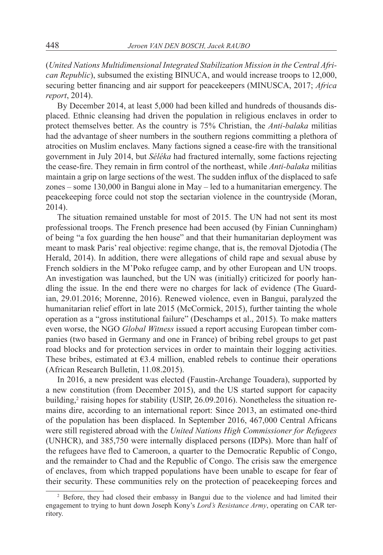(*United Nations Multidimensional Integrated Stabilization Mission in the Central African Republic*), subsumed the existing BINUCA, and would increase troops to 12,000, securing better financing and air support for peacekeepers (MINUSCA, 2017; *Africa report*, 2014).

By December 2014, at least 5,000 had been killed and hundreds of thousands displaced. Ethnic cleansing had driven the population in religious enclaves in order to protect themselves better. As the country is 75% Christian, the *Anti-balaka* militias had the advantage of sheer numbers in the southern regions committing a plethora of atrocities on Muslim enclaves. Many factions signed a cease-fire with the transitional government in July 2014, but *Séléka* had fractured internally, some factions rejecting the cease-fire. They remain in firm control of the northeast, while *Anti-balaka* militias maintain a grip on large sections of the west. The sudden influx of the displaced to safe zones – some 130,000 in Bangui alone in May – led to a humanitarian emergency. The peacekeeping force could not stop the sectarian violence in the countryside (Moran, 2014).

The situation remained unstable for most of 2015. The UN had not sent its most professional troops. The French presence had been accused (by Finian Cunningham) of being "a fox guarding the hen house" and that their humanitarian deployment was meant to mask Paris' real objective: regime change, that is, the removal Djotodia (The Herald, 2014). In addition, there were allegations of child rape and sexual abuse by French soldiers in the M'Poko refugee camp, and by other European and UN troops. An investigation was launched, but the UN was (initially) criticized for poorly handling the issue. In the end there were no charges for lack of evidence (The Guardian, 29.01.2016; Morenne, 2016). Renewed violence, even in Bangui, paralyzed the humanitarian relief effort in late 2015 (McCormick, 2015), further tainting the whole operation as a "gross institutional failure" (Deschamps et al., 2015). To make matters even worse, the NGO *Global Witness* issued a report accusing European timber companies (two based in Germany and one in France) of bribing rebel groups to get past road blocks and for protection services in order to maintain their logging activities. These bribes, estimated at  $63.4$  million, enabled rebels to continue their operations (African Research Bulletin, 11.08.2015).

In 2016, a new president was elected (Faustin-Archange Touadera), supported by a new constitution (from December 2015), and the US started support for capacity building,<sup>2</sup> raising hopes for stability (USIP, 26.09.2016). Nonetheless the situation remains dire, according to an international report: Since 2013, an estimated one-third of the population has been displaced. In September 2016, 467,000 Central Africans were still registered abroad with the *United Nations High Commissioner for Refugees* (UNHCR), and 385,750 were internally displaced persons (IDPs). More than half of the refugees have fled to Cameroon, a quarter to the Democratic Republic of Congo, and the remainder to Chad and the Republic of Congo. The crisis saw the emergence of enclaves, from which trapped populations have been unable to escape for fear of their security. These communities rely on the protection of peacekeeping forces and

<sup>2</sup> Before, they had closed their embassy in Bangui due to the violence and had limited their engagement to trying to hunt down Joseph Kony's *Lord's Resistance Army*, operating on CAR territory.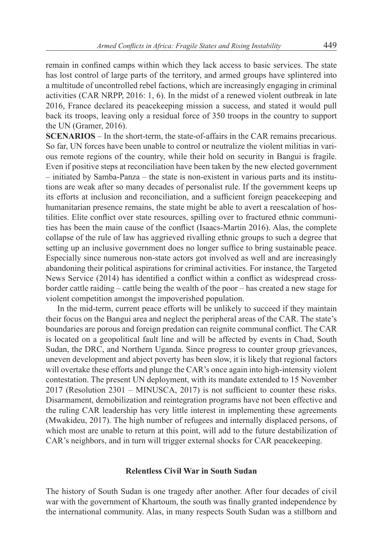remain in confined camps within which they lack access to basic services. The state has lost control of large parts of the territory, and armed groups have splintered into a multitude of uncontrolled rebel factions, which are increasingly engaging in criminal activities (CAR NRPP, 2016: 1, 6). In the midst of a renewed violent outbreak in late 2016, France declared its peacekeeping mission a success, and stated it would pull back its troops, leaving only a residual force of 350 troops in the country to support the UN (Gramer, 2016).

**SCENARIOS** – In the short-term, the state-of-affairs in the CAR remains precarious. So far, UN forces have been unable to control or neutralize the violent militias in various remote regions of the country, while their hold on security in Bangui is fragile. Even if positive steps at reconciliation have been taken by the new elected government – initiated by Samba-Panza – the state is non-existent in various parts and its institutions are weak after so many decades of personalist rule. If the government keeps up its efforts at inclusion and reconciliation, and a sufficient foreign peacekeeping and humanitarian presence remains, the state might be able to avert a reescalation of hostilities. Elite conflict over state resources, spilling over to fractured ethnic communities has been the main cause of the conflict (Isaacs-Martin 2016). Alas, the complete collapse of the rule of law has aggrieved rivalling ethnic groups to such a degree that setting up an inclusive government does no longer suffice to bring sustainable peace. Especially since numerous non-state actors got involved as well and are increasingly abandoning their political aspirations for criminal activities. For instance, the Targeted News Service (2014) has identified a conflict within a conflict as widespread crossborder cattle raiding – cattle being the wealth of the poor – has created a new stage for violent competition amongst the impoverished population.

In the mid-term, current peace efforts will be unlikely to succeed if they maintain their focus on the Bangui area and neglect the peripheral areas of the CAR. The state's boundaries are porous and foreign predation can reignite communal conflict. The CAR is located on a geopolitical fault line and will be affected by events in Chad, South Sudan, the DRC, and Northern Uganda. Since progress to counter group grievances, uneven development and abject poverty has been slow, it is likely that regional factors will overtake these efforts and plunge the CAR's once again into high-intensity violent contestation. The present UN deployment, with its mandate extended to 15 November 2017 (Resolution 2301 – MINUSCA, 2017) is not sufficient to counter these risks. Disarmament, demobilization and reintegration programs have not been effective and the ruling CAR leadership has very little interest in implementing these agreements (Mwakideu, 2017). The high number of refugees and internally displaced persons, of which most are unable to return at this point, will add to the future destabilization of CAR's neighbors, and in turn will trigger external shocks for CAR peacekeeping.

# **Relentless Civil War in South Sudan**

The history of South Sudan is one tragedy after another. After four decades of civil war with the government of Khartoum, the south was finally granted independence by the international community. Alas, in many respects South Sudan was a stillborn and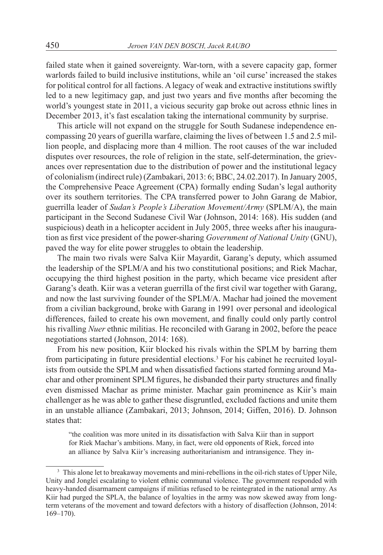failed state when it gained sovereignty. War-torn, with a severe capacity gap, former warlords failed to build inclusive institutions, while an 'oil curse' increased the stakes for political control for all factions. A legacy of weak and extractive institutions swiftly led to a new legitimacy gap, and just two years and five months after becoming the world's youngest state in 2011, a vicious security gap broke out across ethnic lines in December 2013, it's fast escalation taking the international community by surprise.

This article will not expand on the struggle for South Sudanese independence encompassing 20 years of guerilla warfare, claiming the lives of between 1.5 and 2.5 million people, and displacing more than 4 million. The root causes of the war included disputes over resources, the role of religion in the state, self-determination, the grievances over representation due to the distribution of power and the institutional legacy of colonialism (indirect rule) (Zambakari, 2013: 6; BBC, 24.02.2017). In January 2005, the Comprehensive Peace Agreement (CPA) formally ending Sudan's legal authority over its southern territories. The CPA transferred power to John Garang de Mabior, guerrilla leader of *Sudan's People's Liberation Movement/Army* (SPLM/A), the main participant in the Second Sudanese Civil War (Johnson, 2014: 168). His sudden (and suspicious) death in a helicopter accident in July 2005, three weeks after his inauguration as first vice president of the power-sharing *Government of National Unity* (GNU), paved the way for elite power struggles to obtain the leadership.

The main two rivals were Salva Kiir Mayardit, Garang's deputy, which assumed the leadership of the SPLM/A and his two constitutional positions; and Riek Machar, occupying the third highest position in the party, which became vice president after Garang's death. Kiir was a veteran guerrilla of the first civil war together with Garang, and now the last surviving founder of the SPLM/A. Machar had joined the movement from a civilian background, broke with Garang in 1991 over personal and ideological differences, failed to create his own movement, and finally could only partly control his rivalling *Nuer* ethnic militias. He reconciled with Garang in 2002, before the peace negotiations started (Johnson, 2014: 168).

From his new position, Kiir blocked his rivals within the SPLM by barring them from participating in future presidential elections.<sup>3</sup> For his cabinet he recruited loyalists from outside the SPLM and when dissatisfied factions started forming around Machar and other prominent SPLM figures, he disbanded their party structures and finally even dismissed Machar as prime minister. Machar gain prominence as Kiir's main challenger as he was able to gather these disgruntled, excluded factions and unite them in an unstable alliance (Zambakari, 2013; Johnson, 2014; Giffen, 2016). D. Johnson states that:

"the coalition was more united in its dissatisfaction with Salva Kiir than in support for Riek Machar's ambitions. Many, in fact, were old opponents of Riek, forced into an alliance by Salva Kiir's increasing authoritarianism and intransigence. They in-

<sup>&</sup>lt;sup>3</sup> This alone let to breakaway movements and mini-rebellions in the oil-rich states of Upper Nile, Unity and Jonglei escalating to violent ethnic communal violence. The government responded with heavy-handed disarmament campaigns if militias refused to be reintegrated in the national army. As Kiir had purged the SPLA, the balance of loyalties in the army was now skewed away from longterm veterans of the movement and toward defectors with a history of disaffection (Johnson, 2014: 169–170).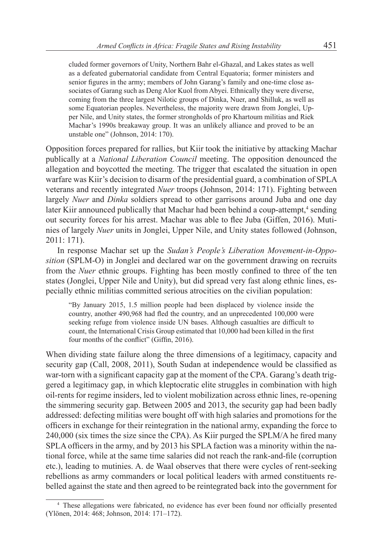cluded former governors of Unity, Northern Bahr el-Ghazal, and Lakes states as well as a defeated gubernatorial candidate from Central Equatoria; former ministers and senior figures in the army; members of John Garang's family and one-time close associates of Garang such as Deng Alor Kuol from Abyei. Ethnically they were diverse, coming from the three largest Nilotic groups of Dinka, Nuer, and Shilluk, as well as some Equatorian peoples. Nevertheless, the majority were drawn from Jonglei, Upper Nile, and Unity states, the former strongholds of pro Khartoum militias and Riek Machar's 1990s breakaway group. It was an unlikely alliance and proved to be an unstable one" (Johnson, 2014: 170).

Opposition forces prepared for rallies, but Kiir took the initiative by attacking Machar publically at a *National Liberation Council* meeting. The opposition denounced the allegation and boycotted the meeting. The trigger that escalated the situation in open warfare was Kiir's decision to disarm of the presidential guard, a combination of SPLA veterans and recently integrated *Nuer* troops (Johnson, 2014: 171). Fighting between largely *Nuer* and *Dinka* soldiers spread to other garrisons around Juba and one day later Kiir announced publically that Machar had been behind a coup-attempt,<sup>4</sup> sending out security forces for his arrest. Machar was able to flee Juba (Giffen, 2016). Mutinies of largely *Nuer* units in Jonglei, Upper Nile, and Unity states followed (Johnson, 2011: 171).

In response Machar set up the *Sudan's People's Liberation Movement-in-Opposition* (SPLM-O) in Jonglei and declared war on the government drawing on recruits from the *Nuer* ethnic groups. Fighting has been mostly confined to three of the ten states (Jonglei, Upper Nile and Unity), but did spread very fast along ethnic lines, especially ethnic militias committed serious atrocities on the civilian population:

"By January 2015, 1.5 million people had been displaced by violence inside the country, another 490,968 had fled the country, and an unprecedented 100,000 were seeking refuge from violence inside UN bases. Although casualties are difficult to count, the International Crisis Group estimated that 10,000 had been killed in the first four months of the conflict" (Giffin, 2016).

When dividing state failure along the three dimensions of a legitimacy, capacity and security gap (Call, 2008, 2011), South Sudan at independence would be classified as war-torn with a significant capacity gap at the moment of the CPA. Garang's death triggered a legitimacy gap, in which kleptocratic elite struggles in combination with high oil-rents for regime insiders, led to violent mobilization across ethnic lines, re-opening the simmering security gap. Between 2005 and 2013, the security gap had been badly addressed: defecting militias were bought off with high salaries and promotions for the officers in exchange for their reintegration in the national army, expanding the force to 240,000 (six times the size since the CPA). As Kiir purged the SPLM/A he fired many SPLA officers in the army, and by 2013 his SPLA faction was a minority within the national force, while at the same time salaries did not reach the rank-and-file (corruption etc.), leading to mutinies. A. de Waal observes that there were cycles of rent-seeking rebellions as army commanders or local political leaders with armed constituents rebelled against the state and then agreed to be reintegrated back into the government for

<sup>4</sup> These allegations were fabricated, no evidence has ever been found nor officially presented (Ylönen, 2014: 468; Johnson, 2014: 171–172).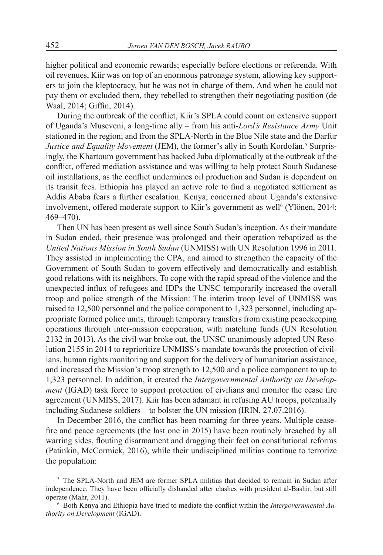higher political and economic rewards; especially before elections or referenda. With oil revenues, Kiir was on top of an enormous patronage system, allowing key supporters to join the kleptocracy, but he was not in charge of them. And when he could not pay them or excluded them, they rebelled to strengthen their negotiating position (de Waal, 2014; Giffin, 2014).

During the outbreak of the conflict, Kiir's SPLA could count on extensive support of Uganda's Museveni, a long-time ally – from his anti-*Lord's Resistance Army* Unit stationed in the region; and from the SPLA-North in the Blue Nile state and the Darfur Justice and Equality Movement (JEM), the former's ally in South Kordofan.<sup>5</sup> Surprisingly, the Khartoum government has backed Juba diplomatically at the outbreak of the conflict, offered mediation assistance and was willing to help protect South Sudanese oil installations, as the conflict undermines oil production and Sudan is dependent on its transit fees. Ethiopia has played an active role to find a negotiated settlement as Addis Ababa fears a further escalation. Kenya, concerned about Uganda's extensive involvement, offered moderate support to Kiir's government as well<sup>6</sup> (Ylönen, 2014: 469–470).

Then UN has been present as well since South Sudan's inception. As their mandate in Sudan ended, their presence was prolonged and their operation rebaptized as the *United Nations Mission in South Sudan* (UNMISS) with UN Resolution 1996 in 2011. They assisted in implementing the CPA, and aimed to strengthen the capacity of the Government of South Sudan to govern effectively and democratically and establish good relations with its neighbors. To cope with the rapid spread of the violence and the unexpected influx of refugees and IDPs the UNSC temporarily increased the overall troop and police strength of the Mission: The interim troop level of UNMISS was raised to 12,500 personnel and the police component to 1,323 personnel, including appropriate formed police units, through temporary transfers from existing peacekeeping operations through inter-mission cooperation, with matching funds (UN Resolution 2132 in 2013). As the civil war broke out, the UNSC unanimously adopted UN Resolution 2155 in 2014 to reprioritize UNMISS's mandate towards the protection of civilians, human rights monitoring and support for the delivery of humanitarian assistance, and increased the Mission's troop strength to 12,500 and a police component to up to 1,323 personnel. In addition, it created the *Intergovernmental Authority on Development* (IGAD) task force to support protection of civilians and monitor the cease fire agreement (UNMISS, 2017). Kiir has been adamant in refusing AU troops, potentially including Sudanese soldiers – to bolster the UN mission (IRIN, 27.07.2016).

In December 2016, the conflict has been roaming for three years. Multiple ceasefire and peace agreements (the last one in 2015) have been routinely breached by all warring sides, flouting disarmament and dragging their feet on constitutional reforms (Patinkin, McCormick, 2016), while their undisciplined militias continue to terrorize the population:

<sup>&</sup>lt;sup>5</sup> The SPLA-North and JEM are former SPLA militias that decided to remain in Sudan after independence. They have been officially disbanded after clashes with president al-Bashir, but still operate (Mahr, 2011).

<sup>6</sup> Both Kenya and Ethiopia have tried to mediate the conflict within the *Intergovernmental Authority on Development* (IGAD).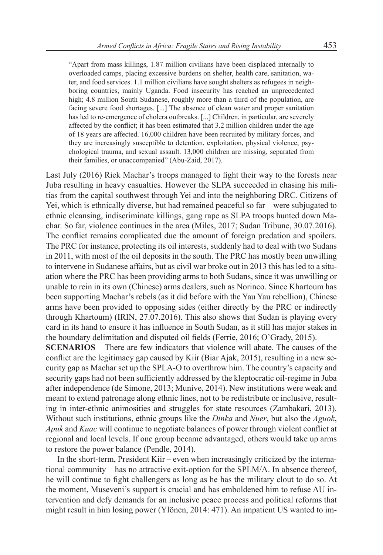"Apart from mass killings, 1.87 million civilians have been displaced internally to overloaded camps, placing excessive burdens on shelter, health care, sanitation, water, and food services. 1.1 million civilians have sought shelters as refugees in neighboring countries, mainly Uganda. Food insecurity has reached an unprecedented high; 4.8 million South Sudanese, roughly more than a third of the population, are facing severe food shortages. [...] The absence of clean water and proper sanitation has led to re-emergence of cholera outbreaks. [...] Children, in particular, are severely affected by the conflict; it has been estimated that 3.2 million children under the age of 18 years are affected. 16,000 children have been recruited by military forces, and they are increasingly susceptible to detention, exploitation, physical violence, psychological trauma, and sexual assault. 13,000 children are missing, separated from their families, or unaccompanied" (Abu-Zaid, 2017).

Last July (2016) Riek Machar's troops managed to fight their way to the forests near Juba resulting in heavy casualties. However the SLPA succeeded in chasing his militias from the capital southwest through Yei and into the neighboring DRC. Citizens of Yei, which is ethnically diverse, but had remained peaceful so far – were subjugated to ethnic cleansing, indiscriminate killings, gang rape as SLPA troops hunted down Machar. So far, violence continues in the area (Miles, 2017; Sudan Tribune, 30.07.2016). The conflict remains complicated due the amount of foreign predation and spoilers. The PRC for instance, protecting its oil interests, suddenly had to deal with two Sudans in 2011, with most of the oil deposits in the south. The PRC has mostly been unwilling to intervene in Sudanese affairs, but as civil war broke out in 2013 this has led to a situation where the PRC has been providing arms to both Sudans, since it was unwilling or unable to rein in its own (Chinese) arms dealers, such as Norinco. Since Khartoum has been supporting Machar's rebels (as it did before with the Yau Yau rebellion), Chinese arms have been provided to opposing sides (either directly by the PRC or indirectly through Khartoum) (IRIN, 27.07.2016). This also shows that Sudan is playing every card in its hand to ensure it has influence in South Sudan, as it still has major stakes in the boundary delimitation and disputed oil fields (Ferrie, 2016; O'Grady, 2015).

**SCENARIOS** – There are few indicators that violence will abate. The causes of the conflict are the legitimacy gap caused by Kiir (Biar Ajak, 2015), resulting in a new security gap as Machar set up the SPLA-O to overthrow him. The country's capacity and security gaps had not been sufficiently addressed by the kleptocratic oil-regime in Juba after independence (de Simone, 2013; Munive, 2014). New institutions were weak and meant to extend patronage along ethnic lines, not to be redistribute or inclusive, resulting in inter-ethnic animosities and struggles for state resources (Zambakari, 2013). Without such institutions, ethnic groups like the *Dinka* and *Nuer*, but also the *Aguok*, *Apuk* and *Kuac* will continue to negotiate balances of power through violent conflict at regional and local levels. If one group became advantaged, others would take up arms to restore the power balance (Pendle, 2014).

In the short-term, President Kiir – even when increasingly criticized by the international community – has no attractive exit-option for the SPLM/A. In absence thereof, he will continue to fight challengers as long as he has the military clout to do so. At the moment, Museveni's support is crucial and has emboldened him to refuse AU intervention and defy demands for an inclusive peace process and political reforms that might result in him losing power (Ylönen, 2014: 471). An impatient US wanted to im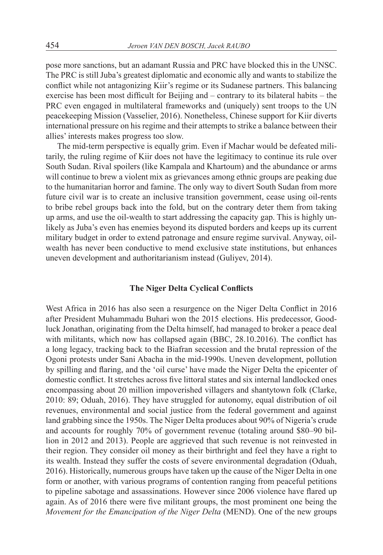pose more sanctions, but an adamant Russia and PRC have blocked this in the UNSC. The PRC is still Juba's greatest diplomatic and economic ally and wants to stabilize the conflict while not antagonizing Kiir's regime or its Sudanese partners. This balancing exercise has been most difficult for Beijing and – contrary to its bilateral habits – the PRC even engaged in multilateral frameworks and (uniquely) sent troops to the UN peacekeeping Mission (Vasselier, 2016). Nonetheless, Chinese support for Kiir diverts international pressure on his regime and their attempts to strike a balance between their allies' interests makes progress too slow.

The mid-term perspective is equally grim. Even if Machar would be defeated militarily, the ruling regime of Kiir does not have the legitimacy to continue its rule over South Sudan. Rival spoilers (like Kampala and Khartoum) and the abundance or arms will continue to brew a violent mix as grievances among ethnic groups are peaking due to the humanitarian horror and famine. The only way to divert South Sudan from more future civil war is to create an inclusive transition government, cease using oil-rents to bribe rebel groups back into the fold, but on the contrary deter them from taking up arms, and use the oil-wealth to start addressing the capacity gap. This is highly unlikely as Juba's even has enemies beyond its disputed borders and keeps up its current military budget in order to extend patronage and ensure regime survival. Anyway, oilwealth has never been conductive to mend exclusive state institutions, but enhances uneven development and authoritarianism instead (Guliyev, 2014).

#### **The Niger Delta Cyclical Conflicts**

West Africa in 2016 has also seen a resurgence on the Niger Delta Conflict in 2016 after President Muhammadu Buhari won the 2015 elections. His predecessor, Goodluck Jonathan, originating from the Delta himself, had managed to broker a peace deal with militants, which now has collapsed again (BBC, 28.10.2016). The conflict has a long legacy, tracking back to the Biafran secession and the brutal repression of the Ogoni protests under Sani Abacha in the mid-1990s. Uneven development, pollution by spilling and flaring, and the 'oil curse' have made the Niger Delta the epicenter of domestic conflict. It stretches across five littoral states and six internal landlocked ones encompassing about 20 million impoverished villagers and shantytown folk (Clarke, 2010: 89; Oduah, 2016). They have struggled for autonomy, equal distribution of oil revenues, environmental and social justice from the federal government and against land grabbing since the 1950s. The Niger Delta produces about 90% of Nigeria's crude and accounts for roughly 70% of government revenue (totaling around \$80–90 billion in 2012 and 2013). People are aggrieved that such revenue is not reinvested in their region. They consider oil money as their birthright and feel they have a right to its wealth. Instead they suffer the costs of severe environmental degradation (Oduah, 2016). Historically, numerous groups have taken up the cause of the Niger Delta in one form or another, with various programs of contention ranging from peaceful petitions to pipeline sabotage and assassinations. However since 2006 violence have flared up again. As of 2016 there were five militant groups, the most prominent one being the *Movement for the Emancipation of the Niger Delta* (MEND). One of the new groups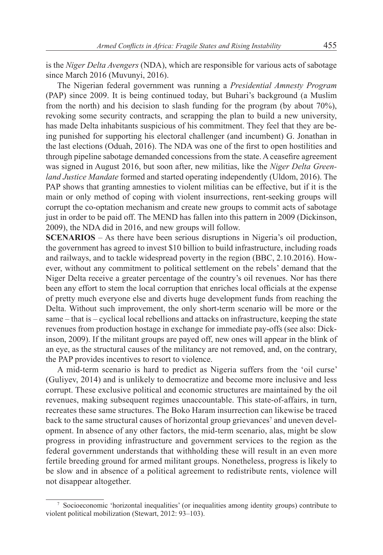is the *Niger Delta Avengers* (NDA), which are responsible for various acts of sabotage since March 2016 (Muvunyi, 2016).

The Nigerian federal government was running a *Presidential Amnesty Program* (PAP) since 2009. It is being continued today, but Buhari's background (a Muslim from the north) and his decision to slash funding for the program (by about 70%), revoking some security contracts, and scrapping the plan to build a new university, has made Delta inhabitants suspicious of his commitment. They feel that they are being punished for supporting his electoral challenger (and incumbent) G. Jonathan in the last elections (Oduah, 2016). The NDA was one of the first to open hostilities and through pipeline sabotage demanded concessions from the state. A ceasefire agreement was signed in August 2016, but soon after, new militias, like the *Niger Delta Greenland Justice Mandate* formed and started operating independently (Uldom, 2016). The PAP shows that granting amnesties to violent militias can be effective, but if it is the main or only method of coping with violent insurrections, rent-seeking groups will corrupt the co-optation mechanism and create new groups to commit acts of sabotage just in order to be paid off. The MEND has fallen into this pattern in 2009 (Dickinson, 2009), the NDA did in 2016, and new groups will follow.

**SCENARIOS** – As there have been serious disruptions in Nigeria's oil production, the government has agreed to invest \$10 billion to build infrastructure, including roads and railways, and to tackle widespread poverty in the region (BBC, 2.10.2016). However, without any commitment to political settlement on the rebels' demand that the Niger Delta receive a greater percentage of the country's oil revenues. Nor has there been any effort to stem the local corruption that enriches local officials at the expense of pretty much everyone else and diverts huge development funds from reaching the Delta. Without such improvement, the only short-term scenario will be more or the same – that is – cyclical local rebellions and attacks on infrastructure, keeping the state revenues from production hostage in exchange for immediate pay-offs (see also: Dickinson, 2009). If the militant groups are payed off, new ones will appear in the blink of an eye, as the structural causes of the militancy are not removed, and, on the contrary, the PAP provides incentives to resort to violence.

A mid-term scenario is hard to predict as Nigeria suffers from the 'oil curse' (Guliyev, 2014) and is unlikely to democratize and become more inclusive and less corrupt. These exclusive political and economic structures are maintained by the oil revenues, making subsequent regimes unaccountable. This state-of-affairs, in turn, recreates these same structures. The Boko Haram insurrection can likewise be traced back to the same structural causes of horizontal group grievances<sup>7</sup> and uneven development. In absence of any other factors, the mid-term scenario, alas, might be slow progress in providing infrastructure and government services to the region as the federal government understands that withholding these will result in an even more fertile breeding ground for armed militant groups. Nonetheless, progress is likely to be slow and in absence of a political agreement to redistribute rents, violence will not disappear altogether.

<sup>7</sup> Socioeconomic 'horizontal inequalities' (or inequalities among identity groups) contribute to violent political mobilization (Stewart, 2012: 93–103).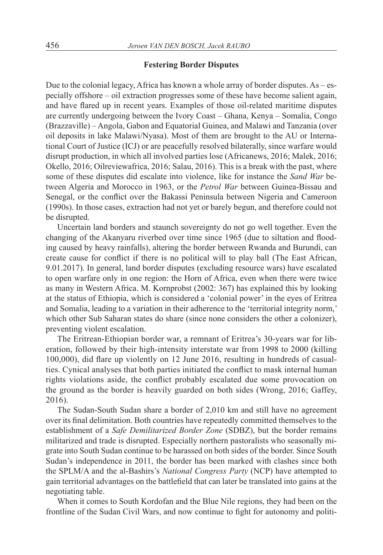#### **Festering Border Disputes**

Due to the colonial legacy, Africa has known a whole array of border disputes. As – especially offshore – oil extraction progresses some of these have become salient again, and have flared up in recent years. Examples of those oil-related maritime disputes are currently undergoing between the Ivory Coast – Ghana, Kenya – Somalia, Congo (Brazzaville) – Angola, Gabon and Equatorial Guinea, and Malawi and Tanzania (over oil deposits in lake Malawi/Nyasa). Most of them are brought to the AU or International Court of Justice (ICJ) or are peacefully resolved bilaterally, since warfare would disrupt production, in which all involved parties lose (Africanews, 2016; Malek, 2016; Okello, 2016; Oilreviewafrica, 2016; Salau, 2016). This is a break with the past, where some of these disputes did escalate into violence, like for instance the *Sand War* between Algeria and Morocco in 1963, or the *Petrol War* between Guinea-Bissau and Senegal, or the conflict over the Bakassi Peninsula between Nigeria and Cameroon (1990s). In those cases, extraction had not yet or barely begun, and therefore could not be disrupted.

Uncertain land borders and staunch sovereignty do not go well together. Even the changing of the Akanyaru riverbed over time since 1965 (due to siltation and flooding caused by heavy rainfalls), altering the border between Rwanda and Burundi, can create cause for conflict if there is no political will to play ball (The East African, 9.01.2017). In general, land border disputes (excluding resource wars) have escalated to open warfare only in one region: the Horn of Africa, even when there were twice as many in Western Africa. M. Kornprobst (2002: 367) has explained this by looking at the status of Ethiopia, which is considered a 'colonial power' in the eyes of Eritrea and Somalia, leading to a variation in their adherence to the 'territorial integrity norm,' which other Sub Saharan states do share (since none considers the other a colonizer), preventing violent escalation.

The Eritrean-Ethiopian border war, a remnant of Eritrea's 30-years war for liberation, followed by their high-intensity interstate war from 1998 to 2000 (killing 100,000), did flare up violently on 12 June 2016, resulting in hundreds of casualties. Cynical analyses that both parties initiated the conflict to mask internal human rights violations aside, the conflict probably escalated due some provocation on the ground as the border is heavily guarded on both sides (Wrong, 2016; Gaffey, 2016).

The Sudan-South Sudan share a border of 2,010 km and still have no agreement over its final delimitation. Both countries have repeatedly committed themselves to the establishment of a *Safe Demilitarized Border Zone* (SDBZ), but the border remains militarized and trade is disrupted. Especially northern pastoralists who seasonally migrate into South Sudan continue to be harassed on both sides of the border. Since South Sudan's independence in 2011, the border has been marked with clashes since both the SPLM/A and the al-Bashirs's *National Congress Party* (NCP) have attempted to gain territorial advantages on the battlefield that can later be translated into gains at the negotiating table.

When it comes to South Kordofan and the Blue Nile regions, they had been on the frontline of the Sudan Civil Wars, and now continue to fight for autonomy and politi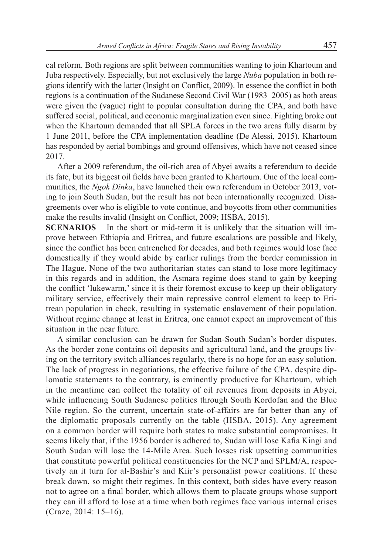cal reform. Both regions are split between communities wanting to join Khartoum and Juba respectively. Especially, but not exclusively the large *Nuba* population in both regions identify with the latter (Insight on Conflict, 2009). In essence the conflict in both regions is a continuation of the Sudanese Second Civil War (1983–2005) as both areas were given the (vague) right to popular consultation during the CPA, and both have suffered social, political, and economic marginalization even since. Fighting broke out when the Khartoum demanded that all SPLA forces in the two areas fully disarm by 1 June 2011, before the CPA implementation deadline (De Alessi, 2015). Khartoum has responded by aerial bombings and ground offensives, which have not ceased since 2017.

After a 2009 referendum, the oil-rich area of Abyei awaits a referendum to decide its fate, but its biggest oil fields have been granted to Khartoum. One of the local communities, the *Ngok Dinka*, have launched their own referendum in October 2013, voting to join South Sudan, but the result has not been internationally recognized. Disagreements over who is eligible to vote continue, and boycotts from other communities make the results invalid (Insight on Conflict, 2009; HSBA, 2015).

**SCENARIOS** – In the short or mid-term it is unlikely that the situation will improve between Ethiopia and Eritrea, and future escalations are possible and likely, since the conflict has been entrenched for decades, and both regimes would lose face domestically if they would abide by earlier rulings from the border commission in The Hague. None of the two authoritarian states can stand to lose more legitimacy in this regards and in addition, the Asmara regime does stand to gain by keeping the conflict 'lukewarm,' since it is their foremost excuse to keep up their obligatory military service, effectively their main repressive control element to keep to Eritrean population in check, resulting in systematic enslavement of their population. Without regime change at least in Eritrea, one cannot expect an improvement of this situation in the near future.

A similar conclusion can be drawn for Sudan-South Sudan's border disputes. As the border zone contains oil deposits and agricultural land, and the groups living on the territory switch alliances regularly, there is no hope for an easy solution. The lack of progress in negotiations, the effective failure of the CPA, despite diplomatic statements to the contrary, is eminently productive for Khartoum, which in the meantime can collect the totality of oil revenues from deposits in Abyei, while influencing South Sudanese politics through South Kordofan and the Blue Nile region. So the current, uncertain state-of-affairs are far better than any of the diplomatic proposals currently on the table (HSBA, 2015). Any agreement on a common border will require both states to make substantial compromises. It seems likely that, if the 1956 border is adhered to, Sudan will lose Kafia Kingi and South Sudan will lose the 14-Mile Area. Such losses risk upsetting communities that constitute powerful political constituencies for the NCP and SPLM/A, respectively an it turn for al-Bashir's and Kiir's personalist power coalitions. If these break down, so might their regimes. In this context, both sides have every reason not to agree on a final border, which allows them to placate groups whose support they can ill afford to lose at a time when both regimes face various internal crises (Craze, 2014: 15–16).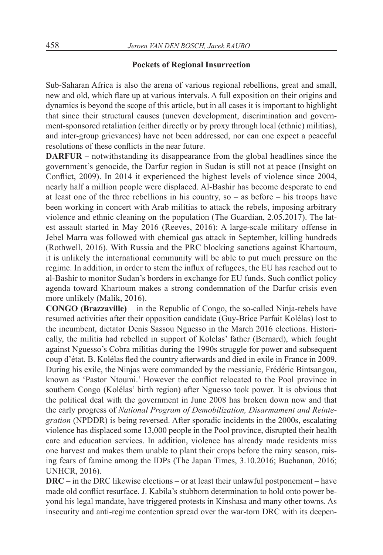## **Pockets of Regional Insurrection**

Sub-Saharan Africa is also the arena of various regional rebellions, great and small, new and old, which flare up at various intervals. A full exposition on their origins and dynamics is beyond the scope of this article, but in all cases it is important to highlight that since their structural causes (uneven development, discrimination and government-sponsored retaliation (either directly or by proxy through local (ethnic) militias), and inter-group grievances) have not been addressed, nor can one expect a peaceful resolutions of these conflicts in the near future.

**DARFUR** – notwithstanding its disappearance from the global headlines since the government's genocide, the Darfur region in Sudan is still not at peace (Insight on Conflict, 2009). In 2014 it experienced the highest levels of violence since 2004, nearly half a million people were displaced. Al-Bashir has become desperate to end at least one of the three rebellions in his country, so – as before – his troops have been working in concert with Arab militias to attack the rebels, imposing arbitrary violence and ethnic cleaning on the population (The Guardian, 2.05.2017). The latest assault started in May 2016 (Reeves, 2016): A large-scale military offense in Jebel Marra was followed with chemical gas attack in September, killing hundreds (Rothwell, 2016). With Russia and the PRC blocking sanctions against Khartoum, it is unlikely the international community will be able to put much pressure on the regime. In addition, in order to stem the influx of refugees, the EU has reached out to al-Bashir to monitor Sudan's borders in exchange for EU funds. Such conflict policy agenda toward Khartoum makes a strong condemnation of the Darfur crisis even more unlikely (Malik, 2016).

**CONGO (Brazzaville)** – in the Republic of Congo, the so-called Ninja-rebels have resumed activities after their opposition candidate (Guy-Brice Parfait Kolélas) lost to the incumbent, dictator Denis Sassou Nguesso in the March 2016 elections. Historically, the militia had rebelled in support of Kolelas' father (Bernard), which fought against Nguesso's Cobra militias during the 1990s struggle for power and subsequent coup d'état. B. Kolélas fled the country afterwards and died in exile in France in 2009. During his exile, the Ninjas were commanded by the messianic, Frédéric Bintsangou, known as 'Pastor Ntoumi.' However the conflict relocated to the Pool province in southern Congo (Kolélas' birth region) after Nguesso took power. It is obvious that the political deal with the government in June 2008 has broken down now and that the early progress of *National Program of Demobilization, Disarmament and Reintegration* (NPDDR) is being reversed. After sporadic incidents in the 2000s, escalating violence has displaced some 13,000 people in the Pool province, disrupted their health care and education services. In addition, violence has already made residents miss one harvest and makes them unable to plant their crops before the rainy season, raising fears of famine among the IDPs (The Japan Times, 3.10.2016; Buchanan, 2016; UNHCR, 2016).

**DRC** – in the DRC likewise elections – or at least their unlawful postponement – have made old conflict resurface. J. Kabila's stubborn determination to hold onto power beyond his legal mandate, have triggered protests in Kinshasa and many other towns. As insecurity and anti-regime contention spread over the war-torn DRC with its deepen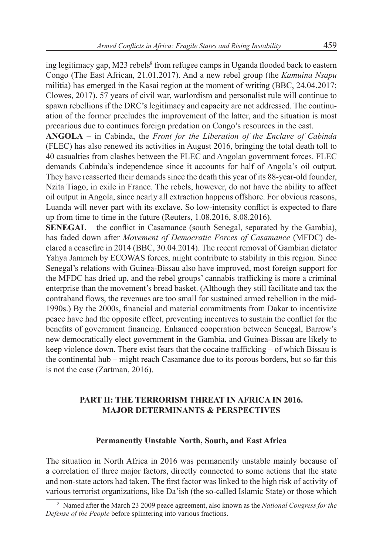ing legitimacy gap, M23 rebels<sup>8</sup> from refugee camps in Uganda flooded back to eastern Congo (The East African, 21.01.2017). And a new rebel group (the *Kamuina Nsapu* militia) has emerged in the Kasai region at the moment of writing (BBC, 24.04.2017; Clowes, 2017). 57 years of civil war, warlordism and personalist rule will continue to spawn rebellions if the DRC's legitimacy and capacity are not addressed. The continuation of the former precludes the improvement of the latter, and the situation is most precarious due to continues foreign predation on Congo's resources in the east.

**ANGOLA** – in Cabinda, the *Front for the Liberation of the Enclave of Cabinda* (FLEC) has also renewed its activities in August 2016, bringing the total death toll to 40 casualties from clashes between the FLEC and Angolan government forces. FLEC demands Cabinda's independence since it accounts for half of Angola's oil output. They have reasserted their demands since the death this year of its 88-year-old founder, Nzita Tiago, in exile in France. The rebels, however, do not have the ability to affect oil output in Angola, since nearly all extraction happens offshore. For obvious reasons, Luanda will never part with its exclave. So low-intensity conflict is expected to flare up from time to time in the future (Reuters, 1.08.2016, 8.08.2016).

**SENEGAL** – the conflict in Casamance (south Senegal, separated by the Gambia), has faded down after *Movement of Democratic Forces of Casamance* (MFDC) declared a ceasefire in 2014 (BBC, 30.04.2014). The recent removal of Gambian dictator Yahya Jammeh by ECOWAS forces, might contribute to stability in this region. Since Senegal's relations with Guinea-Bissau also have improved, most foreign support for the MFDC has dried up, and the rebel groups' cannabis trafficking is more a criminal enterprise than the movement's bread basket. (Although they still facilitate and tax the contraband flows, the revenues are too small for sustained armed rebellion in the mid-1990s.) By the 2000s, financial and material commitments from Dakar to incentivize peace have had the opposite effect, preventing incentives to sustain the conflict for the benefits of government financing. Enhanced cooperation between Senegal, Barrow's new democratically elect government in the Gambia, and Guinea-Bissau are likely to keep violence down. There exist fears that the cocaine trafficking – of which Bissau is the continental hub – might reach Casamance due to its porous borders, but so far this is not the case (Zartman, 2016).

# **PART II: THE TERRORISM THREAT IN AFRICA IN 2016. MAJOR DETERMINANTS & PERSPECTIVES**

# **Permanently Unstable North, South, and East Africa**

The situation in North Africa in 2016 was permanently unstable mainly because of a correlation of three major factors, directly connected to some actions that the state and non-state actors had taken. The first factor was linked to the high risk of activity of various terrorist organizations, like Da'ish (the so-called Islamic State) or those which

<sup>8</sup> Named after the March 23 2009 peace agreement, also known as the *National Congress for the Defense of the People* before splintering into various fractions.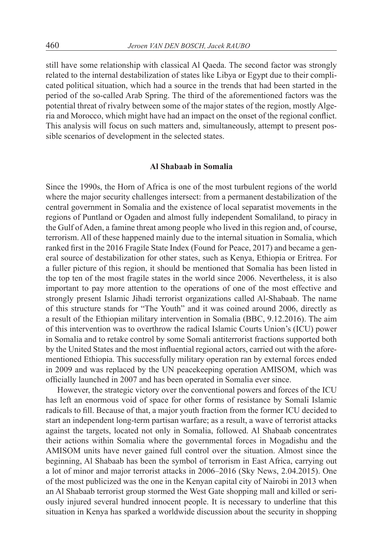still have some relationship with classical Al Qaeda. The second factor was strongly related to the internal destabilization of states like Libya or Egypt due to their complicated political situation, which had a source in the trends that had been started in the period of the so-called Arab Spring. The third of the aforementioned factors was the potential threat of rivalry between some of the major states of the region, mostly Algeria and Morocco, which might have had an impact on the onset of the regional conflict. This analysis will focus on such matters and, simultaneously, attempt to present possible scenarios of development in the selected states.

#### **Al Shabaab in Somalia**

Since the 1990s, the Horn of Africa is one of the most turbulent regions of the world where the major security challenges intersect: from a permanent destabilization of the central government in Somalia and the existence of local separatist movements in the regions of Puntland or Ogaden and almost fully independent Somaliland, to piracy in the Gulf of Aden, a famine threat among people who lived in this region and, of course, terrorism. All of these happened mainly due to the internal situation in Somalia, which ranked first in the 2016 Fragile State Index (Found for Peace, 2017) and became a general source of destabilization for other states, such as Kenya, Ethiopia or Eritrea. For a fuller picture of this region, it should be mentioned that Somalia has been listed in the top ten of the most fragile states in the world since 2006. Nevertheless, it is also important to pay more attention to the operations of one of the most effective and strongly present Islamic Jihadi terrorist organizations called Al-Shabaab. The name of this structure stands for "The Youth" and it was coined around 2006, directly as a result of the Ethiopian military intervention in Somalia (BBC, 9.12.2016). The aim of this intervention was to overthrow the radical Islamic Courts Union's (ICU) power in Somalia and to retake control by some Somali antiterrorist fractions supported both by the United States and the most influential regional actors, carried out with the aforementioned Ethiopia. This successfully military operation ran by external forces ended in 2009 and was replaced by the UN peacekeeping operation AMISOM, which was officially launched in 2007 and has been operated in Somalia ever since.

However, the strategic victory over the conventional powers and forces of the ICU has left an enormous void of space for other forms of resistance by Somali Islamic radicals to fill. Because of that, a major youth fraction from the former ICU decided to start an independent long-term partisan warfare; as a result, a wave of terrorist attacks against the targets, located not only in Somalia, followed. Al Shabaab concentrates their actions within Somalia where the governmental forces in Mogadishu and the AMISOM units have never gained full control over the situation. Almost since the beginning, Al Shabaab has been the symbol of terrorism in East Africa, carrying out a lot of minor and major terrorist attacks in 2006–2016 (Sky News, 2.04.2015). One of the most publicized was the one in the Kenyan capital city of Nairobi in 2013 when an Al Shabaab terrorist group stormed the West Gate shopping mall and killed or seriously injured several hundred innocent people. It is necessary to underline that this situation in Kenya has sparked a worldwide discussion about the security in shopping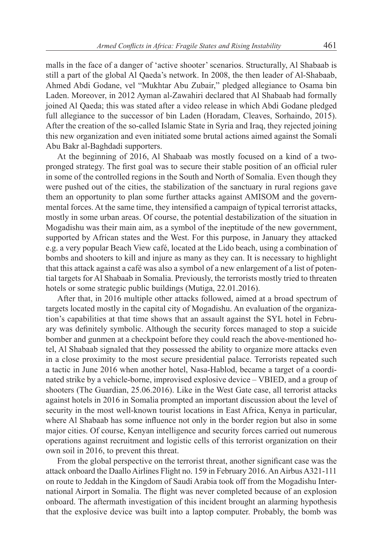malls in the face of a danger of 'active shooter' scenarios. Structurally, Al Shabaab is still a part of the global Al Qaeda's network. In 2008, the then leader of Al-Shabaab, Ahmed Abdi Godane, vel "Mukhtar Abu Zubair," pledged allegiance to Osama bin Laden. Moreover, in 2012 Ayman al-Zawahiri declared that Al Shabaab had formally joined Al Qaeda; this was stated after a video release in which Abdi Godane pledged full allegiance to the successor of bin Laden (Horadam, Cleaves, Sorhaindo, 2015). After the creation of the so-called Islamic State in Syria and Iraq, they rejected joining this new organization and even initiated some brutal actions aimed against the Somali Abu Bakr al-Baghdadi supporters.

At the beginning of 2016, Al Shabaab was mostly focused on a kind of a twopronged strategy. The first goal was to secure their stable position of an official ruler in some of the controlled regions in the South and North of Somalia. Even though they were pushed out of the cities, the stabilization of the sanctuary in rural regions gave them an opportunity to plan some further attacks against AMISOM and the governmental forces. At the same time, they intensified a campaign of typical terrorist attacks, mostly in some urban areas. Of course, the potential destabilization of the situation in Mogadishu was their main aim, as a symbol of the ineptitude of the new government, supported by African states and the West. For this purpose, in January they attacked e.g. a very popular Beach View café, located at the Lido beach, using a combination of bombs and shooters to kill and injure as many as they can. It is necessary to highlight that this attack against a café was also a symbol of a new enlargement of a list of potential targets for Al Shabaab in Somalia. Previously, the terrorists mostly tried to threaten hotels or some strategic public buildings (Mutiga, 22.01.2016).

After that, in 2016 multiple other attacks followed, aimed at a broad spectrum of targets located mostly in the capital city of Mogadishu. An evaluation of the organization's capabilities at that time shows that an assault against the SYL hotel in February was definitely symbolic. Although the security forces managed to stop a suicide bomber and gunmen at a checkpoint before they could reach the above-mentioned hotel, Al Shabaab signaled that they possessed the ability to organize more attacks even in a close proximity to the most secure presidential palace. Terrorists repeated such a tactic in June 2016 when another hotel, Nasa-Hablod, became a target of a coordinated strike by a vehicle-borne, improvised explosive device – VBIED, and a group of shooters (The Guardian, 25.06.2016). Like in the West Gate case, all terrorist attacks against hotels in 2016 in Somalia prompted an important discussion about the level of security in the most well-known tourist locations in East Africa, Kenya in particular, where Al Shabaab has some influence not only in the border region but also in some major cities. Of course, Kenyan intelligence and security forces carried out numerous operations against recruitment and logistic cells of this terrorist organization on their own soil in 2016, to prevent this threat.

From the global perspective on the terrorist threat, another significant case was the attack onboard the Daallo Airlines Flight no. 159 in February 2016. An Airbus A321-111 on route to Jeddah in the Kingdom of Saudi Arabia took off from the Mogadishu International Airport in Somalia. The flight was never completed because of an explosion onboard. The aftermath investigation of this incident brought an alarming hypothesis that the explosive device was built into a laptop computer. Probably, the bomb was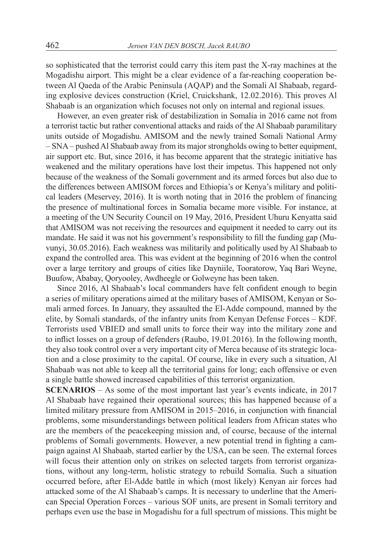so sophisticated that the terrorist could carry this item past the X-ray machines at the Mogadishu airport. This might be a clear evidence of a far-reaching cooperation between Al Qaeda of the Arabic Peninsula (AQAP) and the Somali Al Shabaab, regarding explosive devices construction (Kriel, Cruickshank, 12.02.2016). This proves Al Shabaab is an organization which focuses not only on internal and regional issues.

However, an even greater risk of destabilization in Somalia in 2016 came not from a terrorist tactic but rather conventional attacks and raids of the Al Shabaab paramilitary units outside of Mogadishu. AMISOM and the newly trained Somali National Army – SNA – pushed Al Shabaab away from its major strongholds owing to better equipment, air support etc. But, since 2016, it has become apparent that the strategic initiative has weakened and the military operations have lost their impetus. This happened not only because of the weakness of the Somali government and its armed forces but also due to the differences between AMISOM forces and Ethiopia's or Kenya's military and political leaders (Meservey, 2016). It is worth noting that in 2016 the problem of financing the presence of multinational forces in Somalia became more visible. For instance, at a meeting of the UN Security Council on 19 May, 2016, President Uhuru Kenyatta said that AMISOM was not receiving the resources and equipment it needed to carry out its mandate. He said it was not his government's responsibility to fill the funding gap (Muvunyi, 30.05.2016). Each weakness was militarily and politically used by Al Shabaab to expand the controlled area. This was evident at the beginning of 2016 when the control over a large territory and groups of cities like Dayniile, Tooratorow, Yaq Bari Weyne, Buufow, Ababay, Qoryooley, Awdheegle or Golweyne has been taken.

Since 2016, Al Shabaab's local commanders have felt confident enough to begin a series of military operations aimed at the military bases of AMISOM, Kenyan or Somali armed forces. In January, they assaulted the El-Adde compound, manned by the elite, by Somali standards, of the infantry units from Kenyan Defense Forces – KDF. Terrorists used VBIED and small units to force their way into the military zone and to inflict losses on a group of defenders (Raubo, 19.01.2016). In the following month, they also took control over a very important city of Merca because of its strategic location and a close proximity to the capital. Of course, like in every such a situation, Al Shabaab was not able to keep all the territorial gains for long; each offensive or even a single battle showed increased capabilities of this terrorist organization.

**SCENARIOS** – As some of the most important last year's events indicate, in 2017 Al Shabaab have regained their operational sources; this has happened because of a limited military pressure from AMISOM in 2015–2016, in conjunction with financial problems, some misunderstandings between political leaders from African states who are the members of the peacekeeping mission and, of course, because of the internal problems of Somali governments. However, a new potential trend in fighting a campaign against Al Shabaab, started earlier by the USA, can be seen. The external forces will focus their attention only on strikes on selected targets from terrorist organizations, without any long-term, holistic strategy to rebuild Somalia. Such a situation occurred before, after El-Adde battle in which (most likely) Kenyan air forces had attacked some of the Al Shabaab's camps. It is necessary to underline that the American Special Operation Forces – various SOF units, are present in Somali territory and perhaps even use the base in Mogadishu for a full spectrum of missions. This might be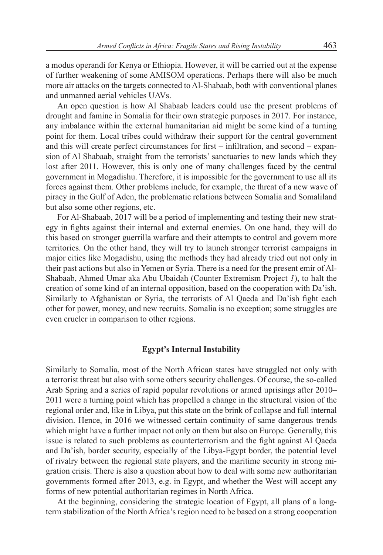a modus operandi for Kenya or Ethiopia. However, it will be carried out at the expense of further weakening of some AMISOM operations. Perhaps there will also be much more air attacks on the targets connected to Al-Shabaab, both with conventional planes and unmanned aerial vehicles UAVs.

An open question is how Al Shabaab leaders could use the present problems of drought and famine in Somalia for their own strategic purposes in 2017. For instance, any imbalance within the external humanitarian aid might be some kind of a turning point for them. Local tribes could withdraw their support for the central government and this will create perfect circumstances for first – infiltration, and second – expansion of Al Shabaab, straight from the terrorists' sanctuaries to new lands which they lost after 2011. However, this is only one of many challenges faced by the central government in Mogadishu. Therefore, it is impossible for the government to use all its forces against them. Other problems include, for example, the threat of a new wave of piracy in the Gulf of Aden, the problematic relations between Somalia and Somaliland but also some other regions, etc.

For Al-Shabaab, 2017 will be a period of implementing and testing their new strategy in fights against their internal and external enemies. On one hand, they will do this based on stronger guerrilla warfare and their attempts to control and govern more territories. On the other hand, they will try to launch stronger terrorist campaigns in major cities like Mogadishu, using the methods they had already tried out not only in their past actions but also in Yemen or Syria. There is a need for the present emir of Al-Shabaab, Ahmed Umar aka Abu Ubaidah (Counter Extremism Project *1*), to halt the creation of some kind of an internal opposition, based on the cooperation with Da'ish. Similarly to Afghanistan or Syria, the terrorists of Al Qaeda and Da'ish fight each other for power, money, and new recruits. Somalia is no exception; some struggles are even crueler in comparison to other regions.

## **Egypt's Internal Instability**

Similarly to Somalia, most of the North African states have struggled not only with a terrorist threat but also with some others security challenges. Of course, the so-called Arab Spring and a series of rapid popular revolutions or armed uprisings after 2010– 2011 were a turning point which has propelled a change in the structural vision of the regional order and, like in Libya, put this state on the brink of collapse and full internal division. Hence, in 2016 we witnessed certain continuity of same dangerous trends which might have a further impact not only on them but also on Europe. Generally, this issue is related to such problems as counterterrorism and the fight against Al Qaeda and Da'ish, border security, especially of the Libya-Egypt border, the potential level of rivalry between the regional state players, and the maritime security in strong migration crisis. There is also a question about how to deal with some new authoritarian governments formed after 2013, e.g. in Egypt, and whether the West will accept any forms of new potential authoritarian regimes in North Africa.

At the beginning, considering the strategic location of Egypt, all plans of a longterm stabilization of the North Africa's region need to be based on a strong cooperation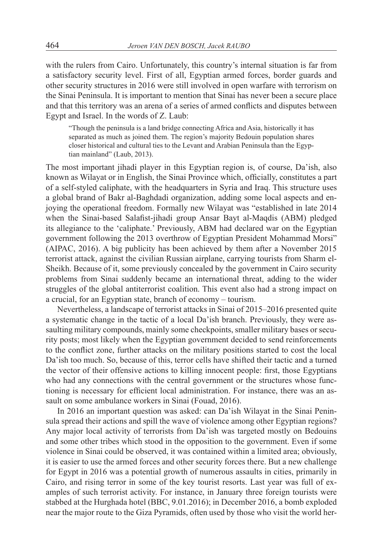with the rulers from Cairo. Unfortunately, this country's internal situation is far from a satisfactory security level. First of all, Egyptian armed forces, border guards and other security structures in 2016 were still involved in open warfare with terrorism on the Sinai Peninsula. It is important to mention that Sinai has never been a secure place and that this territory was an arena of a series of armed conflicts and disputes between Egypt and Israel. In the words of Z. Laub:

"Though the peninsula is a land bridge connecting Africa and Asia, historically it has separated as much as joined them. The region's majority Bedouin population shares closer historical and cultural ties to the Levant and Arabian Peninsula than the Egyptian mainland" (Laub, 2013).

The most important jihadi player in this Egyptian region is, of course, Da'ish, also known as Wilayat or in English, the Sinai Province which, officially, constitutes a part of a self-styled caliphate, with the headquarters in Syria and Iraq. This structure uses a global brand of Bakr al-Baghdadi organization, adding some local aspects and enjoying the operational freedom. Formally new Wilayat was "established in late 2014 when the Sinai-based Salafist-jihadi group Ansar Bayt al-Maqdis (ABM) pledged its allegiance to the 'caliphate.' Previously, ABM had declared war on the Egyptian government following the 2013 overthrow of Egyptian President Mohammad Morsi" (AIPAC, 2016). A big publicity has been achieved by them after a November 2015 terrorist attack, against the civilian Russian airplane, carrying tourists from Sharm el-Sheikh. Because of it, some previously concealed by the government in Cairo security problems from Sinai suddenly became an international threat, adding to the wider struggles of the global antiterrorist coalition. This event also had a strong impact on a crucial, for an Egyptian state, branch of economy – tourism.

Nevertheless, a landscape of terrorist attacks in Sinai of 2015–2016 presented quite a systematic change in the tactic of a local Da'ish branch. Previously, they were assaulting military compounds, mainly some checkpoints, smaller military bases or security posts; most likely when the Egyptian government decided to send reinforcements to the conflict zone, further attacks on the military positions started to cost the local Da'ish too much. So, because of this, terror cells have shifted their tactic and a turned the vector of their offensive actions to killing innocent people: first, those Egyptians who had any connections with the central government or the structures whose functioning is necessary for efficient local administration. For instance, there was an assault on some ambulance workers in Sinai (Fouad, 2016).

In 2016 an important question was asked: can Da'ish Wilayat in the Sinai Peninsula spread their actions and spill the wave of violence among other Egyptian regions? Any major local activity of terrorists from Da'ish was targeted mostly on Bedouins and some other tribes which stood in the opposition to the government. Even if some violence in Sinai could be observed, it was contained within a limited area; obviously, it is easier to use the armed forces and other security forces there. But a new challenge for Egypt in 2016 was a potential growth of numerous assaults in cities, primarily in Cairo, and rising terror in some of the key tourist resorts. Last year was full of examples of such terrorist activity. For instance, in January three foreign tourists were stabbed at the Hurghada hotel (BBC, 9.01.2016); in December 2016, a bomb exploded near the major route to the Giza Pyramids, often used by those who visit the world her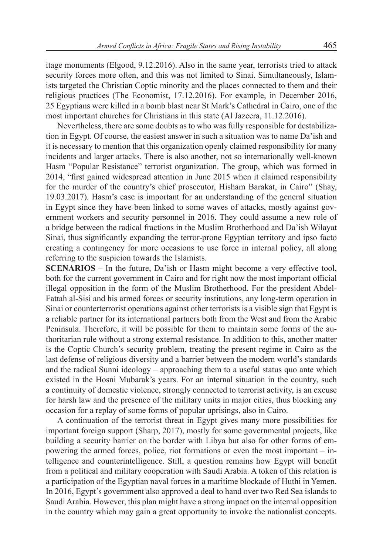itage monuments (Elgood, 9.12.2016). Also in the same year, terrorists tried to attack security forces more often, and this was not limited to Sinai. Simultaneously, Islamists targeted the Christian Coptic minority and the places connected to them and their religious practices (The Economist, 17.12.2016). For example, in December 2016, 25 Egyptians were killed in a bomb blast near St Mark's Cathedral in Cairo, one of the most important churches for Christians in this state (Al Jazeera, 11.12.2016).

Nevertheless, there are some doubts as to who was fully responsible for destabilization in Egypt. Of course, the easiest answer in such a situation was to name Da'ish and it is necessary to mention that this organization openly claimed responsibility for many incidents and larger attacks. There is also another, not so internationally well-known Hasm "Popular Resistance" terrorist organization. The group, which was formed in 2014, "first gained widespread attention in June 2015 when it claimed responsibility for the murder of the country's chief prosecutor, Hisham Barakat, in Cairo" (Shay, 19.03.2017)*.* Hasm's case is important for an understanding of the general situation in Egypt since they have been linked to some waves of attacks, mostly against government workers and security personnel in 2016. They could assume a new role of a bridge between the radical fractions in the Muslim Brotherhood and Da'ish Wilayat Sinai, thus significantly expanding the terror-prone Egyptian territory and ipso facto creating a contingency for more occasions to use force in internal policy, all along referring to the suspicion towards the Islamists.

**SCENARIOS** – In the future, Da'ish or Hasm might become a very effective tool, both for the current government in Cairo and for right now the most important official illegal opposition in the form of the Muslim Brotherhood. For the president Abdel-Fattah al-Sisi and his armed forces or security institutions, any long-term operation in Sinai or counterterrorist operations against other terrorists is a visible sign that Egypt is a reliable partner for its international partners both from the West and from the Arabic Peninsula. Therefore, it will be possible for them to maintain some forms of the authoritarian rule without a strong external resistance. In addition to this, another matter is the Coptic Church's security problem, treating the present regime in Cairo as the last defense of religious diversity and a barrier between the modern world's standards and the radical Sunni ideology – approaching them to a useful status quo ante which existed in the Hosni Mubarak's years. For an internal situation in the country, such a continuity of domestic violence, strongly connected to terrorist activity, is an excuse for harsh law and the presence of the military units in major cities, thus blocking any occasion for a replay of some forms of popular uprisings, also in Cairo.

A continuation of the terrorist threat in Egypt gives many more possibilities for important foreign support (Sharp, 2017), mostly for some governmental projects, like building a security barrier on the border with Libya but also for other forms of empowering the armed forces, police, riot formations or even the most important – intelligence and counterintelligence. Still, a question remains how Egypt will benefit from a political and military cooperation with Saudi Arabia. A token of this relation is a participation of the Egyptian naval forces in a maritime blockade of Huthi in Yemen. In 2016, Egypt's government also approved a deal to hand over two Red Sea islands to Saudi Arabia. However, this plan might have a strong impact on the internal opposition in the country which may gain a great opportunity to invoke the nationalist concepts.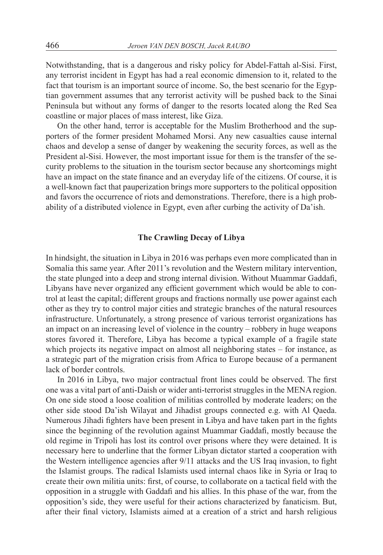Notwithstanding, that is a dangerous and risky policy for Abdel-Fattah al-Sisi. First, any terrorist incident in Egypt has had a real economic dimension to it, related to the fact that tourism is an important source of income. So, the best scenario for the Egyptian government assumes that any terrorist activity will be pushed back to the Sinai Peninsula but without any forms of danger to the resorts located along the Red Sea coastline or major places of mass interest, like Giza.

On the other hand, terror is acceptable for the Muslim Brotherhood and the supporters of the former president Mohamed Morsi. Any new casualties cause internal chaos and develop a sense of danger by weakening the security forces, as well as the President al-Sisi. However, the most important issue for them is the transfer of the security problems to the situation in the tourism sector because any shortcomings might have an impact on the state finance and an everyday life of the citizens. Of course, it is a well-known fact that pauperization brings more supporters to the political opposition and favors the occurrence of riots and demonstrations. Therefore, there is a high probability of a distributed violence in Egypt, even after curbing the activity of Da'ish.

#### **The Crawling Decay of Libya**

In hindsight, the situation in Libya in 2016 was perhaps even more complicated than in Somalia this same year. After 2011's revolution and the Western military intervention, the state plunged into a deep and strong internal division. Without Muammar Gaddafi, Libyans have never organized any efficient government which would be able to control at least the capital; different groups and fractions normally use power against each other as they try to control major cities and strategic branches of the natural resources infrastructure. Unfortunately, a strong presence of various terrorist organizations has an impact on an increasing level of violence in the country – robbery in huge weapons stores favored it. Therefore, Libya has become a typical example of a fragile state which projects its negative impact on almost all neighboring states – for instance, as a strategic part of the migration crisis from Africa to Europe because of a permanent lack of border controls.

In 2016 in Libya, two major contractual front lines could be observed. The first one was a vital part of anti-Daish or wider anti-terrorist struggles in the MENA region. On one side stood a loose coalition of militias controlled by moderate leaders; on the other side stood Da'ish Wilayat and Jihadist groups connected e.g. with Al Qaeda. Numerous Jihadi fighters have been present in Libya and have taken part in the fights since the beginning of the revolution against Muammar Gaddafi, mostly because the old regime in Tripoli has lost its control over prisons where they were detained. It is necessary here to underline that the former Libyan dictator started a cooperation with the Western intelligence agencies after 9/11 attacks and the US Iraq invasion, to fight the Islamist groups. The radical Islamists used internal chaos like in Syria or Iraq to create their own militia units: first, of course, to collaborate on a tactical field with the opposition in a struggle with Gaddafi and his allies. In this phase of the war, from the opposition's side, they were useful for their actions characterized by fanaticism. But, after their final victory, Islamists aimed at a creation of a strict and harsh religious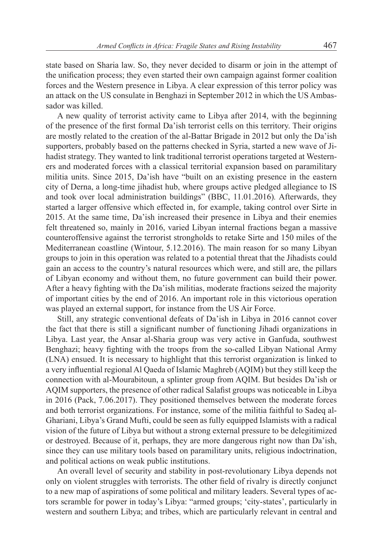state based on Sharia law. So, they never decided to disarm or join in the attempt of the unification process; they even started their own campaign against former coalition forces and the Western presence in Libya. A clear expression of this terror policy was an attack on the US consulate in Benghazi in September 2012 in which the US Ambassador was killed.

A new quality of terrorist activity came to Libya after 2014, with the beginning of the presence of the first formal Da'ish terrorist cells on this territory. Their origins are mostly related to the creation of the al-Battar Brigade in 2012 but only the Da'ish supporters, probably based on the patterns checked in Syria, started a new wave of Jihadist strategy. They wanted to link traditional terrorist operations targeted at Westerners and moderated forces with a classical territorial expansion based on paramilitary militia units. Since 2015, Da'ish have "built on an existing presence in the eastern city of Derna, a long-time jihadist hub, where groups active pledged allegiance to IS and took over local administration buildings" (BBC, 11.01.2016)*.* Afterwards, they started a larger offensive which effected in, for example, taking control over Sirte in 2015. At the same time, Da'ish increased their presence in Libya and their enemies felt threatened so, mainly in 2016, varied Libyan internal fractions began a massive counteroffensive against the terrorist strongholds to retake Sirte and 150 miles of the Mediterranean coastline (Wintour, 5.12.2016). The main reason for so many Libyan groups to join in this operation was related to a potential threat that the Jihadists could gain an access to the country's natural resources which were, and still are, the pillars of Libyan economy and without them, no future government can build their power. After a heavy fighting with the Da'ish militias, moderate fractions seized the majority of important cities by the end of 2016. An important role in this victorious operation was played an external support, for instance from the US Air Force.

Still, any strategic conventional defeats of Da'ish in Libya in 2016 cannot cover the fact that there is still a significant number of functioning Jihadi organizations in Libya. Last year, the Ansar al-Sharia group was very active in Ganfuda, southwest Benghazi; heavy fighting with the troops from the so-called Libyan National Army (LNA) ensued. It is necessary to highlight that this terrorist organization is linked to a very influential regional Al Qaeda of Islamic Maghreb (AQIM) but they still keep the connection with al-Mourabitoun, a splinter group from AQIM. But besides Da'ish or AQIM supporters, the presence of other radical Salafist groups was noticeable in Libya in 2016 (Pack, 7.06.2017). They positioned themselves between the moderate forces and both terrorist organizations. For instance, some of the militia faithful to Sadeq al-Ghariani, Libya's Grand Mufti, could be seen as fully equipped Islamists with a radical vision of the future of Libya but without a strong external pressure to be delegitimized or destroyed. Because of it, perhaps, they are more dangerous right now than Da'ish, since they can use military tools based on paramilitary units, religious indoctrination, and political actions on weak public institutions.

An overall level of security and stability in post-revolutionary Libya depends not only on violent struggles with terrorists. The other field of rivalry is directly conjunct to a new map of aspirations of some political and military leaders. Several types of actors scramble for power in today's Libya: "armed groups; 'city-states', particularly in western and southern Libya; and tribes, which are particularly relevant in central and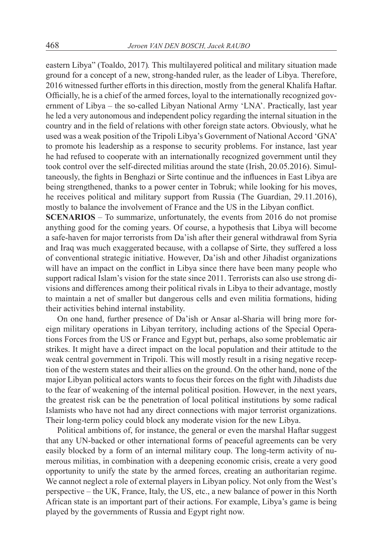eastern Libya" (Toaldo, 2017)*.* This multilayered political and military situation made ground for a concept of a new, strong-handed ruler, as the leader of Libya. Therefore, 2016 witnessed further efforts in this direction, mostly from the general Khalifa Haftar. Officially, he is a chief of the armed forces, loyal to the internationally recognized government of Libya – the so-called Libyan National Army 'LNA'. Practically, last year he led a very autonomous and independent policy regarding the internal situation in the country and in the field of relations with other foreign state actors. Obviously, what he used was a weak position of the Tripoli Libya's Government of National Accord 'GNA' to promote his leadership as a response to security problems. For instance, last year he had refused to cooperate with an internationally recognized government until they took control over the self-directed militias around the state (Irish, 20.05.2016). Simultaneously, the fights in Benghazi or Sirte continue and the influences in East Libya are being strengthened, thanks to a power center in Tobruk; while looking for his moves, he receives political and military support from Russia (The Guardian, 29.11.2016), mostly to balance the involvement of France and the US in the Libyan conflict.

**SCENARIOS** – To summarize, unfortunately, the events from 2016 do not promise anything good for the coming years. Of course, a hypothesis that Libya will become a safe-haven for major terrorists from Da'ish after their general withdrawal from Syria and Iraq was much exaggerated because, with a collapse of Sirte, they suffered a loss of conventional strategic initiative. However, Da'ish and other Jihadist organizations will have an impact on the conflict in Libya since there have been many people who support radical Islam's vision for the state since 2011. Terrorists can also use strong divisions and differences among their political rivals in Libya to their advantage, mostly to maintain a net of smaller but dangerous cells and even militia formations, hiding their activities behind internal instability.

On one hand, further presence of Da'ish or Ansar al-Sharia will bring more foreign military operations in Libyan territory, including actions of the Special Operations Forces from the US or France and Egypt but, perhaps, also some problematic air strikes. It might have a direct impact on the local population and their attitude to the weak central government in Tripoli. This will mostly result in a rising negative reception of the western states and their allies on the ground. On the other hand, none of the major Libyan political actors wants to focus their forces on the fight with Jihadists due to the fear of weakening of the internal political position. However, in the next years, the greatest risk can be the penetration of local political institutions by some radical Islamists who have not had any direct connections with major terrorist organizations. Their long-term policy could block any moderate vision for the new Libya.

Political ambitions of, for instance, the general or even the marshal Haftar suggest that any UN-backed or other international forms of peaceful agreements can be very easily blocked by a form of an internal military coup. The long-term activity of numerous militias, in combination with a deepening economic crisis, create a very good opportunity to unify the state by the armed forces, creating an authoritarian regime. We cannot neglect a role of external players in Libyan policy. Not only from the West's perspective – the UK, France, Italy, the US, etc., a new balance of power in this North African state is an important part of their actions. For example, Libya's game is being played by the governments of Russia and Egypt right now.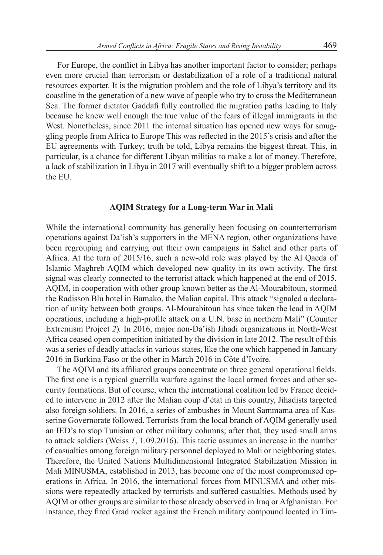For Europe, the conflict in Libya has another important factor to consider; perhaps even more crucial than terrorism or destabilization of a role of a traditional natural resources exporter. It is the migration problem and the role of Libya's territory and its coastline in the generation of a new wave of people who try to cross the Mediterranean Sea. The former dictator Gaddafi fully controlled the migration paths leading to Italy because he knew well enough the true value of the fears of illegal immigrants in the West. Nonetheless, since 2011 the internal situation has opened new ways for smuggling people from Africa to Europe This was reflected in the 2015's crisis and after the EU agreements with Turkey; truth be told, Libya remains the biggest threat. This, in particular, is a chance for different Libyan militias to make a lot of money. Therefore, a lack of stabilization in Libya in 2017 will eventually shift to a bigger problem across the EU.

#### **AQIM Strategy for a Long-term War in Mali**

While the international community has generally been focusing on counterterrorism operations against Da'ish's supporters in the MENA region, other organizations have been regrouping and carrying out their own campaigns in Sahel and other parts of Africa. At the turn of 2015/16, such a new-old role was played by the Al Qaeda of Islamic Maghreb AQIM which developed new quality in its own activity. The first signal was clearly connected to the terrorist attack which happened at the end of 2015. AQIM, in cooperation with other group known better as the Al-Mourabitoun, stormed the Radisson Blu hotel in Bamako, the Malian capital. This attack "signaled a declaration of unity between both groups. Al-Mourabitoun has since taken the lead in AQIM operations, including a high-profile attack on a U.N. base in northern Mali" (Counter Extremism Project *2*)*.* In 2016, major non-Da'ish Jihadi organizations in North-West Africa ceased open competition initiated by the division in late 2012. The result of this was a series of deadly attacks in various states, like the one which happened in January 2016 in Burkina Faso or the other in March 2016 in Côte d'Ivoire.

The AQIM and its affiliated groups concentrate on three general operational fields. The first one is a typical guerrilla warfare against the local armed forces and other security formations. But of course, when the international coalition led by France decided to intervene in 2012 after the Malian coup d'état in this country, Jihadists targeted also foreign soldiers. In 2016, a series of ambushes in Mount Sammama area of Kasserine Governorate followed. Terrorists from the local branch of AQIM generally used an IED's to stop Tunisian or other military columns; after that, they used small arms to attack soldiers (Weiss *1*, 1.09.2016). This tactic assumes an increase in the number of casualties among foreign military personnel deployed to Mali or neighboring states. Therefore, the United Nations Multidimensional Integrated Stabilization Mission in Mali MINUSMA, established in 2013, has become one of the most compromised operations in Africa. In 2016, the international forces from MINUSMA and other missions were repeatedly attacked by terrorists and suffered casualties. Methods used by AQIM or other groups are similar to those already observed in Iraq or Afghanistan. For instance, they fired Grad rocket against the French military compound located in Tim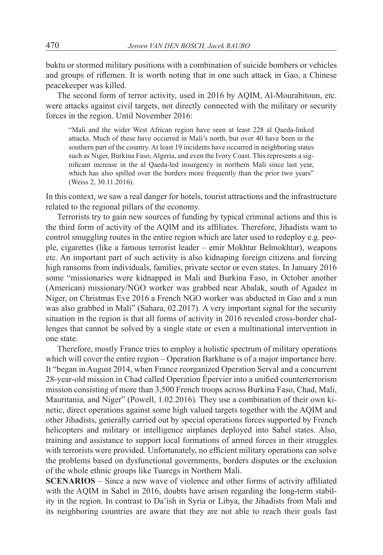buktu or stormed military positions with a combination of suicide bombers or vehicles and groups of riflemen. It is worth noting that in one such attack in Gao, a Chinese peacekeeper was killed.

The second form of terror activity, used in 2016 by AQIM, Al-Mourabitoun, etc. were attacks against civil targets, not directly connected with the military or security forces in the region. Until November 2016:

"Mali and the wider West African region have seen at least 228 al Qaeda-linked attacks. Much of these have occurred in Mali's north, but over 40 have been in the southern part of the country. At least 19 incidents have occurred in neighboring states such as Niger, Burkina Faso, Algeria, and even the Ivory Coast. This represents a significant increase in the al Qaeda-led insurgency in northern Mali since last year, which has also spilled over the borders more frequently than the prior two years" (Weiss 2, 30.11.2016).

In this context, we saw a real danger for hotels, tourist attractions and the infrastructure related to the regional pillars of the economy.

Terrorists try to gain new sources of funding by typical criminal actions and this is the third form of activity of the AQIM and its affiliates. Therefore, Jihadists want to control smuggling routes in the entire region which are later used to redeploy e.g. people, cigarettes (like a famous terrorist leader – emir Mokhtar Belmokhtar), weapons etc. An important part of such activity is also kidnaping foreign citizens and forcing high ransoms from individuals, families, private sector or even states. In January 2016 some "missionaries were kidnapped in Mali and Burkina Faso, in October another (American) missionary/NGO worker was grabbed near Abalak, south of Agadez in Niger, on Christmas Eve 2016 a French NGO worker was abducted in Gao and a nun was also grabbed in Mali" (Sahara, 02.2017)*.* A very important signal for the security situation in the region is that all forms of activity in 2016 revealed cross-border challenges that cannot be solved by a single state or even a multinational intervention in one state.

Therefore, mostly France tries to employ a holistic spectrum of military operations which will cover the entire region – Operation Barkhane is of a major importance here. It "began in August 2014, when France reorganized Operation Serval and a concurrent 28-year-old mission in Chad called Operation Épervier into a unified counterterrorism mission consisting of more than 3,500 French troops across Burkina Faso, Chad, Mali, Mauritania, and Niger" (Powell, 1.02.2016)*.* They use a combination of their own kinetic, direct operations against some high valued targets together with the AQIM and other Jihadists, generally carried out by special operations forces supported by French helicopters and military or intelligence airplanes deployed into Sahel states. Also, training and assistance to support local formations of armed forces in their struggles with terrorists were provided. Unfortunately, no efficient military operations can solve the problems based on dysfunctional governments, borders disputes or the exclusion of the whole ethnic groups like Tuaregs in Northern Mali.

**SCENARIOS** – Since a new wave of violence and other forms of activity affiliated with the AQIM in Sahel in 2016, doubts have arisen regarding the long-term stability in the region. In contrast to Da'ish in Syria or Libya, the Jihadists from Mali and its neighboring countries are aware that they are not able to reach their goals fast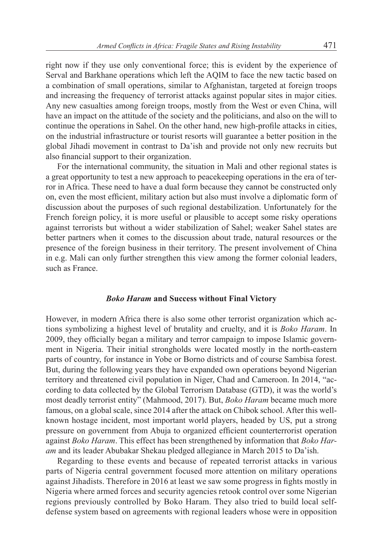right now if they use only conventional force; this is evident by the experience of Serval and Barkhane operations which left the AQIM to face the new tactic based on a combination of small operations, similar to Afghanistan, targeted at foreign troops and increasing the frequency of terrorist attacks against popular sites in major cities. Any new casualties among foreign troops, mostly from the West or even China, will have an impact on the attitude of the society and the politicians, and also on the will to continue the operations in Sahel. On the other hand, new high-profile attacks in cities, on the industrial infrastructure or tourist resorts will guarantee a better position in the global Jihadi movement in contrast to Da'ish and provide not only new recruits but also financial support to their organization.

For the international community, the situation in Mali and other regional states is a great opportunity to test a new approach to peacekeeping operations in the era of terror in Africa. These need to have a dual form because they cannot be constructed only on, even the most efficient, military action but also must involve a diplomatic form of discussion about the purposes of such regional destabilization. Unfortunately for the French foreign policy, it is more useful or plausible to accept some risky operations against terrorists but without a wider stabilization of Sahel; weaker Sahel states are better partners when it comes to the discussion about trade, natural resources or the presence of the foreign business in their territory. The present involvement of China in e.g. Mali can only further strengthen this view among the former colonial leaders, such as France.

#### *Boko Haram* **and Success without Final Victory**

However, in modern Africa there is also some other terrorist organization which actions symbolizing a highest level of brutality and cruelty, and it is *Boko Haram*. In 2009, they officially began a military and terror campaign to impose Islamic government in Nigeria. Their initial strongholds were located mostly in the north-eastern parts of country, for instance in Yobe or Borno districts and of course Sambisa forest. But, during the following years they have expanded own operations beyond Nigerian territory and threatened civil population in Niger, Chad and Cameroon. In 2014, "according to data collected by the Global Terrorism Database (GTD), it was the world's most deadly terrorist entity" (Mahmood, 2017). But, *Boko Haram* became much more famous, on a global scale, since 2014 after the attack on Chibok school. After this wellknown hostage incident, most important world players, headed by US, put a strong pressure on government from Abuja to organized efficient counterterrorist operation against *Boko Haram*. This effect has been strengthened by information that *Boko Haram* and its leader Abubakar Shekau pledged allegiance in March 2015 to Da'ish.

Regarding to these events and because of repeated terrorist attacks in various parts of Nigeria central government focused more attention on military operations against Jihadists. Therefore in 2016 at least we saw some progress in fights mostly in Nigeria where armed forces and security agencies retook control over some Nigerian regions previously controlled by Boko Haram. They also tried to build local selfdefense system based on agreements with regional leaders whose were in opposition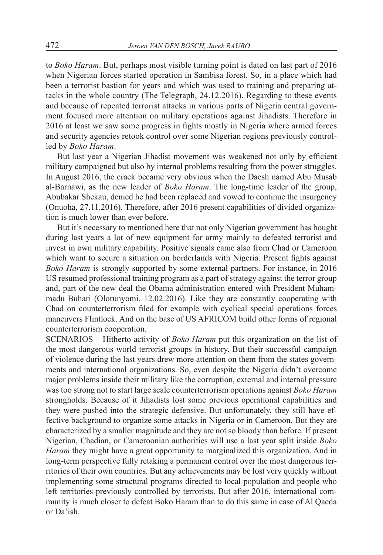to *Boko Haram*. But, perhaps most visible turning point is dated on last part of 2016 when Nigerian forces started operation in Sambisa forest. So, in a place which had been a terrorist bastion for years and which was used to training and preparing attacks in the whole country (The Telegraph, 24.12.2016). Regarding to these events and because of repeated terrorist attacks in various parts of Nigeria central government focused more attention on military operations against Jihadists. Therefore in 2016 at least we saw some progress in fights mostly in Nigeria where armed forces and security agencies retook control over some Nigerian regions previously controlled by *Boko Haram*.

But last year a Nigerian Jihadist movement was weakened not only by efficient military campaigned but also by internal problems resulting from the power struggles. In August 2016, the crack became very obvious when the Daesh named Abu Musab al-Barnawi, as the new leader of *Boko Haram*. The long-time leader of the group, Abubakar Shekau, denied he had been replaced and vowed to continue the insurgency (Onuoha, 27.11.2016). Therefore, after 2016 present capabilities of divided organization is much lower than ever before.

But it's necessary to mentioned here that not only Nigerian government has bought during last years a lot of new equipment for army mainly to defeated terrorist and invest in own military capability. Positive signals came also from Chad or Cameroon which want to secure a situation on borderlands with Nigeria. Present fights against *Boko Haram* is strongly supported by some external partners. For instance, in 2016 US resumed professional training program as a part of strategy against the terror group and, part of the new deal the Obama administration entered with President Muhammadu Buhari (Olorunyomi, 12.02.2016). Like they are constantly cooperating with Chad on counterterrorism filed for example with cyclical special operations forces maneuvers Flintlock. And on the base of US AFRICOM build other forms of regional counterterrorism cooperation.

SCENARIOS – Hitherto activity of *Boko Haram* put this organization on the list of the most dangerous world terrorist groups in history. But their successful campaign of violence during the last years drew more attention on them from the states governments and international organizations. So, even despite the Nigeria didn't overcome major problems inside their military like the corruption, external and internal pressure was too strong not to start large scale counterterrorism operations against *Boko Haram* strongholds. Because of it Jihadists lost some previous operational capabilities and they were pushed into the strategic defensive. But unfortunately, they still have effective background to organize some attacks in Nigeria or in Cameroon. But they are characterized by a smaller magnitude and they are not so bloody than before. If present Nigerian, Chadian, or Cameroonian authorities will use a last year split inside *Boko Haram* they might have a great opportunity to marginalized this organization. And in long-term perspective fully retaking a permanent control over the most dangerous territories of their own countries. But any achievements may be lost very quickly without implementing some structural programs directed to local population and people who left territories previously controlled by terrorists. But after 2016, international community is much closer to defeat Boko Haram than to do this same in case of Al Qaeda or Da'ish.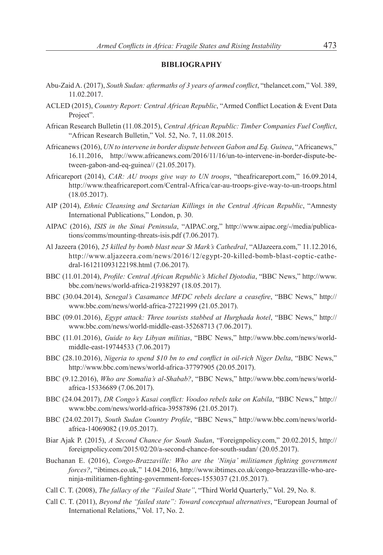#### **BIBLIOGRAPHY**

- Abu-Zaid A. (2017), *South Sudan: aftermaths of 3 years of armed conflict*, "thelancet.com," Vol. 389, 11.02.2017.
- ACLED (2015), *Country Report: Central African Republic*, "Armed Conflict Location & Event Data Project".
- African Research Bulletin (11.08.2015), *Central African Republic: Timber Companies Fuel Conflict*, "African Research Bulletin," Vol. 52, No. 7, 11.08.2015.
- Africanews (2016), *UN to intervene in border dispute between Gabon and Eq. Guinea*, "Africanews," 16.11.2016, http://www.africanews.com/2016/11/16/un-to-intervene-in-border-dispute-between-gabon-and-eq-guinea// (21.05.2017).
- Africareport (2014), *CAR: AU troops give way to UN troops*, "theafricareport.com," 16.09.2014, http://www.theafricareport.com/Central-Africa/car-au-troops-give-way-to-un-troops.html (18.05.2017).
- AIP (2014), *Ethnic Cleansing and Sectarian Killings in the Central African Republic*, "Amnesty International Publications," London, p. 30.
- AIPAC (2016), *ISIS in the Sinai Peninsula*, "AIPAC.org," http://www.aipac.org/-/media/publications/comms/mounting-threats-isis.pdf (7.06.2017).
- Al Jazeera (2016), *25 killed by bomb blast near St Mark's Cathedral*, "AlJazeera.com," 11.12.2016, http://www.aljazeera.com/news/2016/12/egypt-20-killed-bomb-blast-coptic-cathedral-161211093122198.html (7.06.2017).
- BBC (11.01.2014), *Profile: Central African Republic's Michel Djotodia*, "BBC News," http://www. bbc.com/news/world-africa-21938297 (18.05.2017).
- BBC (30.04.2014), *Senegal's Casamance MFDC rebels declare a ceasefire*, "BBC News," http:// www.bbc.com/news/world-africa-27221999 (21.05.2017).
- BBC (09.01.2016), *Egypt attack: Three tourists stabbed at Hurghada hotel*, "BBC News," http:// www.bbc.com/news/world-middle-east-35268713 (7.06.2017).
- BBC (11.01.2016), *Guide to key Libyan militias*, "BBC News," http://www.bbc.com/news/worldmiddle-east-19744533 (7.06.2017)
- BBC (28.10.2016), *Nigeria to spend \$10 bn to end conflict in oil-rich Niger Delta*, "BBC News," http://www.bbc.com/news/world-africa-37797905 (20.05.2017).
- BBC (9.12.2016), *Who are Somalia's al-Shabab?*, "BBC News," http://www.bbc.com/news/worldafrica-15336689 (7.06.2017).
- BBC (24.04.2017), *DR Congo's Kasai conflict: Voodoo rebels take on Kabila*, "BBC News," http:// www.bbc.com/news/world-africa-39587896 (21.05.2017).
- BBC (24.02.2017), *South Sudan Country Profile*, "BBC News," http://www.bbc.com/news/worldafrica-14069082 (19.05.2017).
- Biar Ajak P. (2015), *A Second Chance for South Sudan*, "Foreignpolicy.com," 20.02.2015, http:// foreignpolicy.com/2015/02/20/a-second-chance-for-south-sudan/ (20.05.2017).
- Buchanan E. (2016), *Congo-Brazzaville: Who are the 'Ninja' militiamen fighting government forces?*, "ibtimes.co.uk," 14.04.2016, http://www.ibtimes.co.uk/congo-brazzaville-who-areninja-militiamen-fighting-government-forces-1553037 (21.05.2017).
- Call C. T. (2008), *The fallacy of the "Failed State"*, "Third World Quarterly," Vol. 29, No. 8.
- Call C. T. (2011), *Beyond the "failed state": Toward conceptual alternatives*, "European Journal of International Relations," Vol. 17, No. 2.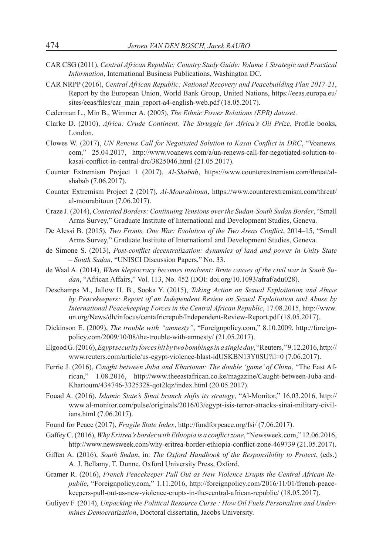- CAR CSG (2011), *Central African Republic: Country Study Guide: Volume 1 Strategic and Practical Information*, International Business Publications, Washington DC.
- CAR NRPP (2016), *Central African Republic: National Recovery and Peacebuilding Plan 2017-21*, Report by the European Union, World Bank Group, United Nations, https://eeas.europa.eu/ sites/eeas/files/car\_main\_report-a4-english-web.pdf (18.05.2017).
- Cederman L., Min B., Wimmer A. (2005), *The Ethnic Power Relations (EPR) dataset*.
- Clarke D. (2010), *Africa: Crude Continent: The Struggle for Africa's Oil Prize*, Profile books, London.
- Clowes W. (2017), *UN Renews Call for Negotiated Solution to Kasai Conflict in DRC*, "Voanews. com," 25.04.2017, http://www.voanews.com/a/un-renews-call-for-negotiated-solution-tokasai-conflict-in-central-drc/3825046.html (21.05.2017).
- Counter Extremism Project 1 (2017), *Al-Shabab*, https://www.counterextremism.com/threat/alshabab (7.06.2017).
- Counter Extremism Project 2 (2017), *Al-Mourabitoun*, https://www.counterextremism.com/threat/ al-mourabitoun (7.06.2017).
- Craze J. (2014), *Contested Borders: Continuing Tensions overthe Sudan-South Sudan Border*, "Small Arms Survey," Graduate Institute of International and Development Studies, Geneva.
- De Alessi B. (2015), *Two Fronts, One War: Evolution of the Two Areas Conflict*, 2014–15, "Small Arms Survey," Graduate Institute of International and Development Studies, Geneva.
- de Simone S. (2013), *Post-conflict decentralization: dynamics of land and power in Unity State – South Sudan*, "UNISCI Discussion Papers," No. 33.
- de Waal A. (2014), *When kleptocracy becomes insolvent: Brute causes of the civil war in South Sudan*, "African Affairs," Vol. 113, No. 452 (DOI: doi.org/10.1093/afraf/adu028).
- Deschamps M., Jallow H. B., Sooka Y. (2015), *Taking Action on Sexual Exploitation and Abuse by Peacekeepers: Report of an Independent Review on Sexual Exploitation and Abuse by International Peacekeeping Forces in the Central African Republic*, 17.08.2015, http://www. un.org/News/dh/infocus/centafricrepub/Independent-Review-Report.pdf (18.05.2017).
- Dickinson E. (2009), *The trouble with "amnesty"*, "Foreignpolicy.com," 8.10.2009, http://foreignpolicy.com/2009/10/08/the-trouble-with-amnesty/ (21.05.2017).
- Elgood G. (2016), *Egyptsecurity forceshitby twobombingsinasingleday*, "Reuters," 9.12.2016, http:// www.reuters.com/article/us-egypt-violence-blast-idUSKBN13Y0SU?il=0 (7.06.2017).
- Ferrie J. (2016), *Caught between Juba and Khartoum: The double 'game' of China*, "The East African," 1.08.2016, http://www.theeastafrican.co.ke/magazine/Caught-between-Juba-and-Khartoum/434746-3325328-qot2lqz/index.html (20.05.2017).
- Fouad A. (2016), *Islamic State's Sinai branch shifts its strategy*, "Al-Monitor," 16.03.2016, http:// www.al-monitor.com/pulse/originals/2016/03/egypt-isis-terror-attacks-sinai-military-civilians.html (7.06.2017).
- Found for Peace (2017), *Fragile State Index*, http://fundforpeace.org/fsi/ (7.06.2017).
- Gaffey C. (2016), *WhyEritrea's borderwithEthiopia is a conflictzone*, "Newsweek.com," 12.06.2016, http://www.newsweek.com/why-eritrea-border-ethiopia-conflict-zone-469739 (21.05.2017).
- Giffen A. (2016), *South Sudan*, in: *The Oxford Handbook of the Responsibility to Protect*, (eds.) A. J. Bellamy, T. Dunne, Oxford University Press, Oxford.
- Gramer R. (2016), *French Peacekeeper Pull Out as New Violence Erupts the Central African Republic*, "Foreignpolicy.com," 1.11.2016, http://foreignpolicy.com/2016/11/01/french-peacekeepers-pull-out-as-new-violence-erupts-in-the-central-african-republic/ (18.05.2017).
- Guliyev F. (2014), *Unpacking the Political Resource Curse : How Oil Fuels Personalism and Undermines Democratization*, Doctoral dissertatin, Jacobs University.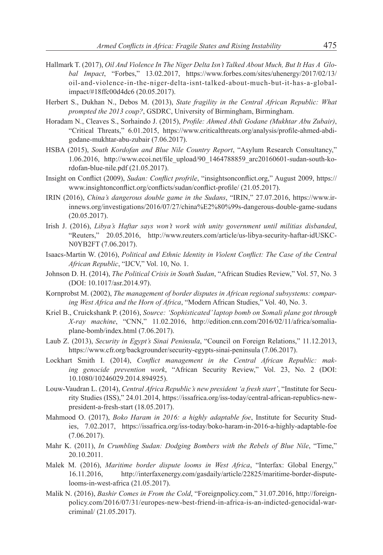- Hallmark T. (2017), *Oil And Violence In The Niger Delta Isn't Talked About Much, But It Has A Global Impact*, "Forbes," 13.02.2017, https://www.forbes.com/sites/uhenergy/2017/02/13/ oil-and-violence-in-the-niger-delta-isnt-talked-about-much-but-it-has-a-globalimpact/#18ffc00d4dc6 (20.05.2017).
- Herbert S., Dukhan N., Debos M. (2013), *State fragility in the Central African Republic: What prompted the 2013 coup?*, GSDRC, University of Birmingham, Birmingham.
- Horadam N., Cleaves S., Sorhaindo J. (2015), *Profile: Ahmed Abdi Godane (Mukhtar Abu Zubair)*, "Critical Threats," 6.01.2015, https://www.criticalthreats.org/analysis/profile-ahmed-abdigodane-mukhtar-abu-zubair (7.06.2017).
- HSBA (2015), *South Kordofan and Blue Nile Country Report*, "Asylum Research Consultancy," 1.06.2016, http://www.ecoi.net/file\_upload/90\_1464788859\_arc20160601-sudan-south-kordofan-blue-nile.pdf (21.05.2017).
- Insight on Conflict (2009), *Sudan: Conflict profrile*, "insightsonconflict.org," August 2009, https:// www.insightonconflict.org/conflicts/sudan/conflict-profile/ (21.05.2017).
- IRIN (2016), *China's dangerous double game in the Sudans*, "IRIN," 27.07.2016, https://www.irinnews.org/investigations/2016/07/27/china%E2%80%99s-dangerous-double-game-sudans (20.05.2017).
- Irish J. (2016), *Libya's Haftar says won't work with unity government until militias disbanded*, "Reuters," 20.05.2016, http://www.reuters.com/article/us-libya-security-haftar-idUSKC-N0YB2FT (7.06.2017).
- Isaacs-Martin W. (2016), *Political and Ethnic Identity in Violent Conflict: The Case of the Central African Republic*, "IJCV," Vol. 10, No. 1.
- Johnson D. H. (2014), *The Political Crisis in South Sudan*, "African Studies Review," Vol. 57, No. 3 (DOI: 10.1017/asr.2014.97).
- Kornprobst M. (2002), *The management of border disputes in African regional subsystems: comparing West Africa and the Horn of Africa*, "Modern African Studies," Vol. 40, No. 3.
- Kriel B., Cruickshank P. (2016), *Source: 'Sophisticated'laptop bomb on Somali plane got through X-ray machine*, "CNN," 11.02.2016, http://edition.cnn.com/2016/02/11/africa/somaliaplane-bomb/index.html (7.06.2017).
- Laub Z. (2013), *Security in Egypt's Sinai Peninsula*, "Council on Foreign Relations," 11.12.2013, https://www.cfr.org/backgrounder/security-egypts-sinai-peninsula (7.06.2017).
- Lockhart Smith I. (2014), *Conflict management in the Central African Republic: making genocide prevention work*, "African Security Review," Vol. 23, No. 2 (DOI: 10.1080/10246029.2014.894925).
- Louw-Vaudran L. (2014), *Central Africa Republic's new president 'a fresh start'*, "Institute for Security Studies (ISS)," 24.01.2014, https://issafrica.org/iss-today/central-african-republics-newpresident-a-fresh-start (18.05.2017).
- Mahmood O. (2017), *Boko Haram in 2016: a highly adaptable foe*, Institute for Security Studies, 7.02.2017, https://issafrica.org/iss-today/boko-haram-in-2016-a-highly-adaptable-foe (7.06.2017).
- Mahr K. (2011), *In Crumbling Sudan: Dodging Bombers with the Rebels of Blue Nile*, "Time," 20.10.2011.
- Malek M. (2016), *Maritime border dispute looms in West Africa*, "Interfax: Global Energy," 16.11.2016, http://interfaxenergy.com/gasdaily/article/22825/maritime-border-disputelooms-in-west-africa (21.05.2017).
- Malik N. (2016), *Bashir Comes in From the Cold*, "Foreignpolicy.com," 31.07.2016, http://foreignpolicy.com/2016/07/31/europes-new-best-friend-in-africa-is-an-indicted-genocidal-warcriminal/ (21.05.2017).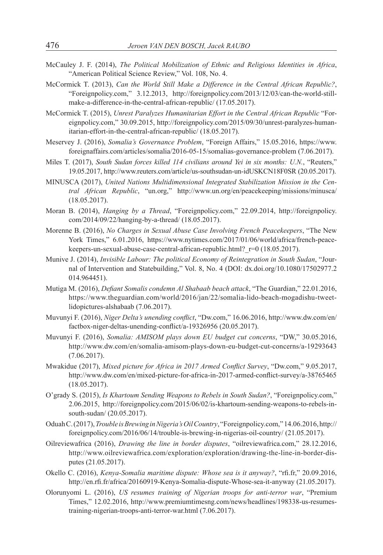- McCauley J. F. (2014), *The Political Mobilization of Ethnic and Religious Identities in Africa*, "American Political Science Review," Vol. 108, No. 4.
- McCormick T. (2013), *Can the World Still Make a Difference in the Central African Republic?*, "Foreignpolicy.com," 3.12.2013, http://foreignpolicy.com/2013/12/03/can-the-world-stillmake-a-difference-in-the-central-african-republic/ (17.05.2017).
- McCormick T. (2015), *Unrest Paralyzes Humanitarian Effort in the Central African Republic* "Foreignpolicy.com," 30.09.2015, http://foreignpolicy.com/2015/09/30/unrest-paralyzes-humanitarian-effort-in-the-central-african-republic/ (18.05.2017).
- Meservey J. (2016), *Somalia's Governance Problem*, "Foreign Affairs," 15.05.2016, https://www. foreignaffairs.com/articles/somalia/2016-05-15/somalias-governance-problem (7.06.2017).
- Miles T. (2017), *South Sudan forces killed 114 civilians around Yei in six months: U.N.*, "Reuters," 19.05.2017, http://www.reuters.com/article/us-southsudan-un-idUSKCN18F0SR (20.05.2017).
- MINUSCA (2017), *United Nations Multidimensional Integrated Stabilization Mission in the Central African Republic*, "un.org," http://www.un.org/en/peacekeeping/missions/minusca/ (18.05.2017).
- Moran B. (2014), *Hanging by a Thread*, "Foreignpolicy.com," 22.09.2014, http://foreignpolicy. com/2014/09/22/hanging-by-a-thread/ (18.05.2017).
- Morenne B. (2016), *No Charges in Sexual Abuse Case Involving French Peacekeepers*, "The New York Times," 6.01.2016, https://www.nytimes.com/2017/01/06/world/africa/french-peacekeepers-un-sexual-abuse-case-central-african-republic.html? r=0 (18.05.2017).
- Munive J. (2014), *Invisible Labour: The political Economy of Reintegration in South Sudan*, "Journal of Intervention and Statebuilding," Vol. 8, No. 4 (DOI: dx.doi.org/10.1080/17502977.2 014.964451).
- Mutiga M. (2016), *Defiant Somalis condemn Al Shabaab beach attack*, "The Guardian," 22.01.2016, https://www.theguardian.com/world/2016/jan/22/somalia-lido-beach-mogadishu-tweetlidopictures-alshabaab (7.06.2017).
- Muvunyi F. (2016), *Niger Delta's unending conflict*, "Dw.com," 16.06.2016, http://www.dw.com/en/ factbox-niger-deltas-unending-conflict/a-19326956 (20.05.2017).
- Muvunyi F. (2016), *Somalia: AMISOM plays down EU budget cut concerns*, "DW," 30.05.2016, http://www.dw.com/en/somalia-amisom-plays-down-eu-budget-cut-concerns/a-19293643 (7.06.2017).
- Mwakidue (2017), *Mixed picture for Africa in 2017 Armed Conflict Survey*, "Dw.com," 9.05.2017, http://www.dw.com/en/mixed-picture-for-africa-in-2017-armed-conflict-survey/a-38765465 (18.05.2017).
- O'grady S. (2015), *Is Khartoum Sending Weapons to Rebels in South Sudan?*, "Foreignpolicy.com," 2.06.2015, http://foreignpolicy.com/2015/06/02/is-khartoum-sending-weapons-to-rebels-insouth-sudan/ (20.05.2017).
- Oduah C. (2017), *Trouble isBrewinginNigeria'sOilCountry*, "Foreignpolicy.com," 14.06.2016, http:// foreignpolicy.com/2016/06/14/trouble-is-brewing-in-nigerias-oil-country/ (21.05.2017).
- Oilreviewafrica (2016), *Drawing the line in border disputes*, "oilreviewafrica.com," 28.12.2016, http://www.oilreviewafrica.com/exploration/exploration/drawing-the-line-in-border-disputes (21.05.2017).
- Okello C. (2016), *Kenya-Somalia maritime dispute: Whose sea is it anyway?*, "rfi.fr," 20.09.2016, http://en.rfi.fr/africa/20160919-Kenya-Somalia-dispute-Whose-sea-it-anyway (21.05.2017).
- Olorunyomi L. (2016), *US resumes training of Nigerian troops for anti-terror war*, "Premium Times," 12.02.2016, http://www.premiumtimesng.com/news/headlines/198338-us-resumestraining-nigerian-troops-anti-terror-war.html (7.06.2017).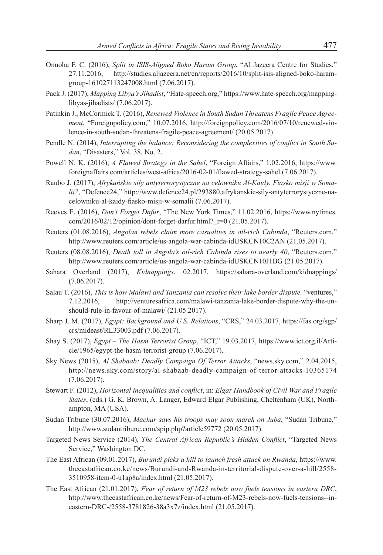- Onuoha F. C. (2016), *Split in ISIS-Aligned Boko Haram Group*, "Al Jazeera Centre for Studies," 27.11.2016, http://studies.aljazeera.net/en/reports/2016/10/split-isis-aligned-boko-haramgroup-161027113247008.html (7.06.2017).
- Pack J. (2017), *Mapping Libya's Jihadist*, "Hate-speech.org," https://www.hate-speech.org/mappinglibyas-jihadists/ (7.06.2017).
- Patinkin J., McCormick T. (2016), *Renewed Violence in South Sudan Threatens Fragile Peace Agreement*, "Foreignpolicy.com," 10.07.2016, http://foreignpolicy.com/2016/07/10/renewed-violence-in-south-sudan-threatens-fragile-peace-agreement/ (20.05.2017).
- Pendle N. (2014), *Interrupting the balance: Reconsidering the complexities of conflict in South Sudan*, "Disasters," Vol. 38, No. 2.
- Powell N. K. (2016), *A Flawed Strategy in the Sahel*, "Foreign Affairs," 1.02.2016, https://www. foreignaffairs.com/articles/west-africa/2016-02-01/flawed-strategy-sahel (7.06.2017).
- Raubo J. (2017), *Afrykańskie siły antyterrorystyczne na celowniku Al-Kaidy. Fiasko misji w Somalii?*, "Defence24," http://www.defence24.pl/293880,afrykanskie-sily-antyterrorystyczne-nacelowniku-al-kaidy-fiasko-misji-w-somalii (7.06.2017).
- Reeves E. (2016), *Don't Forget Dafur*, "The New York Times," 11.02.2016, https://www.nytimes. com/2016/02/12/opinion/dont-forget-darfur.html?\_r=0 (21.05.2017).
- Reuters (01.08.2016), *Angolan rebels claim more casualties in oil-rich Cabinda*, "Reuters.com," http://www.reuters.com/article/us-angola-war-cabinda-idUSKCN10C2AN (21.05.2017).
- Reuters (08.08.2016), *Death toll in Angola's oil-rich Cabinda rises to nearly 40*, "Reuters.com," http://www.reuters.com/article/us-angola-war-cabinda-idUSKCN10J1BG (21.05.2017).
- Sahara Overland (2017), *Kidnappings*, 02.2017, https://sahara-overland.com/kidnappings/ (7.06.2017).
- Salau T. (2016), *This is how Malawi and Tanzania can resolve their lake border dispute.* "ventures," 7.12.2016, http://venturesafrica.com/malawi-tanzania-lake-border-dispute-why-the-unshould-rule-in-favour-of-malawi/ (21.05.2017).
- Sharp J. M. (2017), *Egypt: Background and U.S. Relations*, "CRS," 24.03.2017, https://fas.org/sgp/ crs/mideast/RL33003.pdf (7.06.2017).
- Shay S. (2017), *Egypt – The Hasm Terrorist Group*, "ICT," 19.03.2017, https://www.ict.org.il/Article/1965/egypt-the-hasm-terrorist-group (7.06.2017).
- Sky News (2015), *Al Shabaab: Deadly Campaign Of Terror Attacks*, "news.sky.com," 2.04.2015, http://news.sky.com/story/al-shabaab-deadly-campaign-of-terror-attacks-10365174 (7.06.2017).
- Stewart F. (2012), *Horizontal inequalities and conflict*, in: *Elgar Handbook of Civil War and Fragile States*, (eds.) G. K. Brown, A. Langer, Edward Elgar Publishing, Cheltenham (UK), Northampton, MA (USA).
- Sudan Tribune (30.07.2016), *Machar says his troops may soon march on Juba*, "Sudan Tribune," http://www.sudantribune.com/spip.php?article59772 (20.05.2017).
- Targeted News Service (2014), *The Central African Republic's Hidden Conflict*, "Targeted News Service," Washington DC.
- The East African (09.01.2017), *Burundi picks a hill to launch fresh attack on Rwanda*, https://www. theeastafrican.co.ke/news/Burundi-and-Rwanda-in-territorial-dispute-over-a-hill/2558- 3510958-item-0-u1ap8a/index.html (21.05.2017).
- The East African (21.01.2017), *Fear of return of M23 rebels now fuels tensions in eastern DRC*, http://www.theeastafrican.co.ke/news/Fear-of-return-of-M23-rebels-now-fuels-tensions--ineastern-DRC-/2558-3781826-38a3x7z/index.html (21.05.2017).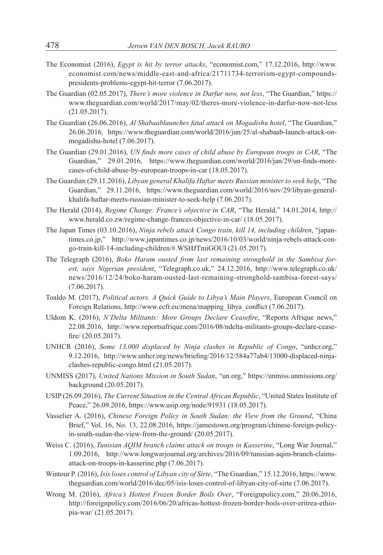- The Economist (2016), *Egypt is hit by terror attacks*, "economist.com," 17.12.2016, http://www. economist.com/news/middle-east-and-africa/21711734-terrorism-egypt-compoundspresidents-problems-egypt-hit-terror (7.06.2017).
- The Guardian (02.05.2017), *There's more violence in Darfur now, not less*, "The Guardian," https:// www.theguardian.com/world/2017/may/02/theres-more-violence-in-darfur-now-not-less (21.05.2017).
- The Guardian (26.06.2016), *Al Shabaablaunches fatal attack on Mogadishu hotel*, "The Guardian," 26.06.2016, https://www.theguardian.com/world/2016/jun/25/al-shabaab-launch-attack-onmogadishu-hotel (7.06.2017).
- The Guardian (29.01.2016), *UN finds more cases of child abuse by European troops in CAR*, "The Guardian," 29.01.2016, https://www.theguardian.com/world/2016/jan/29/un-finds-morecases-of-child-abuse-by-european-troops-in-car (18.05.2017).
- The Guardian (29.11.2016), *Libyan general Khalifa Haftar meets Russian minister to seek help*, "The Guardian," 29.11.2016, https://www.theguardian.com/world/2016/nov/29/libyan-generalkhalifa-haftar-meets-russian-minister-to-seek-help (7.06.2017).
- The Herald (2014), *Regime Change: France's objective in CAR*, "The Herald," 14.01.2014, http:// www.herald.co.zw/regime-change-frances-objective-in-car/ (18.05.2017).
- The Japan Times (03.10.2016), *Ninja rebels attack Congo train, kill 14, including children*, "japantimes.co.jp," http://www.japantimes.co.jp/news/2016/10/03/world/ninja-rebels-attack-congo-train-kill-14-including-children/#.WSHJTmiGOUl (21.05.2017).
- The Telegraph (2016), *Boko Haram ousted from last remaining stronghold in the Sambisa forest, says Nigerian president*, "Telegraph.co.uk," 24.12.2016, http://www.telegraph.co.uk/ news/2016/12/24/boko-haram-ousted-last-remaining-stronghold-sambisa-forest-says/ (7.06.2017).
- Toaldo M. (2017), *Political actors. A Quick Guide to Libya's Main Players*, European Council on Foreign Relations, http://www.ecfr.eu/mena/mapping\_libya\_conflict (7.06.2017).
- Uldom K. (2016), *N'Delta Militants: More Groups Declare Ceasefire*, "Reports Afrique news," 22.08.2016, http://www.reportsafrique.com/2016/08/ndelta-militants-groups-declare-ceasefire/ (20.05.2017).
- UNHCR (2016), *Some 13,000 displaced by Ninja clashes in Republic of Congo*, "unhcr.org," 9.12.2016, http://www.unhcr.org/news/briefing/2016/12/584a77ab4/13000-displaced-ninjaclashes-republic-congo.html (21.05.2017).
- UNMISS (2017), *United Nations Mission in South Sudan*, "un.org," https://unmiss.unmissions.org/ background (20.05.2017).
- USIP (26.09.2016), *The Current Situation in the Central African Republic*, "United States Institute of Peace," 26.09.2016, https://www.usip.org/node/91931 (18.05.2017).
- Vasselier A. (2016), *Chinese Foreign Policy in South Sudan: the View from the Ground*, "China Brief," Vol. 16, No. 13, 22.08.2016, https://jamestown.org/program/chinese-foreign-policyin-south-sudan-the-view-from-the-ground/ (20.05.2017).
- Weiss C. (2016), *Tunisian AQIM branch claims attack on troops in Kasserine*, "Long War Journal," 1.09.2016, http://www.longwarjournal.org/archives/2016/09/tunisian-aqim-branch-claimsattack-on-troops-in-kasserine.php (7.06.2017).
- Wintour P. (2016), *Isisloses control of Libyan city of Sirte*, "The Guardian," 15.12.2016, https://www. theguardian.com/world/2016/dec/05/isis-loses-control-of-libyan-city-of-sirte (7.06.2017).
- Wrong M. (2016), *Africa's Hottest Frozen Border Boils Over*, "Foreignpolicy.com," 20.06.2016, http://foreignpolicy.com/2016/06/20/africas-hottest-frozen-border-boils-over-eritrea-ethiopia-war/ (21.05.2017).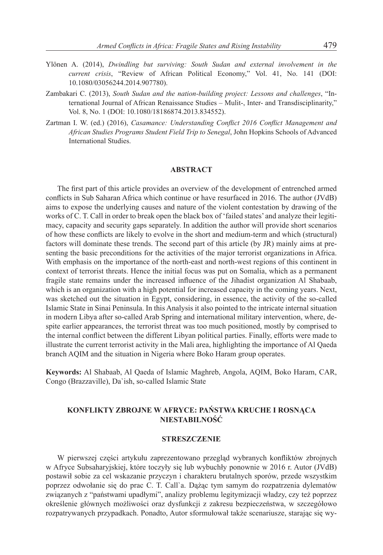- Ylönen A. (2014), *Dwindling but surviving: South Sudan and external involvement in the current crisis*, "Review of African Political Economy," Vol. 41, No. 141 (DOI: 10.1080/03056244.2014.907780).
- Zambakari C. (2013), *South Sudan and the nation-building project: Lessons and challenges*, "International Journal of African Renaissance Studies – Mulit-, Inter- and Transdisciplinarity," Vol. 8, No. 1 (DOI: 10.1080/18186874.2013.834552).
- Zartman I. W. (ed.) (2016), *Casamance: Understanding Conflict 2016 Conflict Management and African Studies Programs Student Field Trip to Senegal*, John Hopkins Schools of Advanced International Studies.

#### **ABSTRACT**

The first part of this article provides an overview of the development of entrenched armed conflicts in Sub Saharan Africa which continue or have resurfaced in 2016. The author (JVdB) aims to expose the underlying causes and nature of the violent contestation by drawing of the works of C. T. Call in order to break open the black box of 'failed states' and analyze their legitimacy, capacity and security gaps separately. In addition the author will provide short scenarios of how these conflicts are likely to evolve in the short and medium-term and which (structural) factors will dominate these trends. The second part of this article (by JR) mainly aims at presenting the basic preconditions for the activities of the major terrorist organizations in Africa. With emphasis on the importance of the north-east and north-west regions of this continent in context of terrorist threats. Hence the initial focus was put on Somalia, which as a permanent fragile state remains under the increased influence of the Jihadist organization Al Shabaab, which is an organization with a high potential for increased capacity in the coming years. Next, was sketched out the situation in Egypt, considering, in essence, the activity of the so-called Islamic State in Sinai Peninsula. In this Analysis it also pointed to the intricate internal situation in modern Libya after so-called Arab Spring and international military intervention, where, despite earlier appearances, the terrorist threat was too much positioned, mostly by comprised to the internal conflict between the different Libyan political parties. Finally, efforts were made to illustrate the current terrorist activity in the Mali area, highlighting the importance of Al Qaeda branch AQIM and the situation in Nigeria where Boko Haram group operates.

**Keywords:** Al Shabaab, Al Qaeda of Islamic Maghreb, Angola, AQIM, Boko Haram, CAR, Congo (Brazzaville), Da`ish, so-called Islamic State

# **KONFLIKTY ZBROJNE W AFRYCE: PAŃSTWA KRUCHE I ROSNĄCA NIESTABILNOŚĆ**

#### **STRESZCZENIE**

W pierwszej części artykułu zaprezentowano przegląd wybranych konfliktów zbrojnych w Afryce Subsaharyjskiej, które toczyły się lub wybuchły ponownie w 2016 r. Autor (JVdB) postawił sobie za cel wskazanie przyczyn i charakteru brutalnych sporów, przede wszystkim poprzez odwołanie się do prac C. T. Call`a. Dążąc tym samym do rozpatrzenia dylematów związanych z "państwami upadłymi", analizy problemu legitymizacji władzy, czy też poprzez określenie głównych możliwości oraz dysfunkcji z zakresu bezpieczeństwa, w szczegółowo rozpatrywanych przypadkach. Ponadto, Autor sformułował także scenariusze, starając się wy